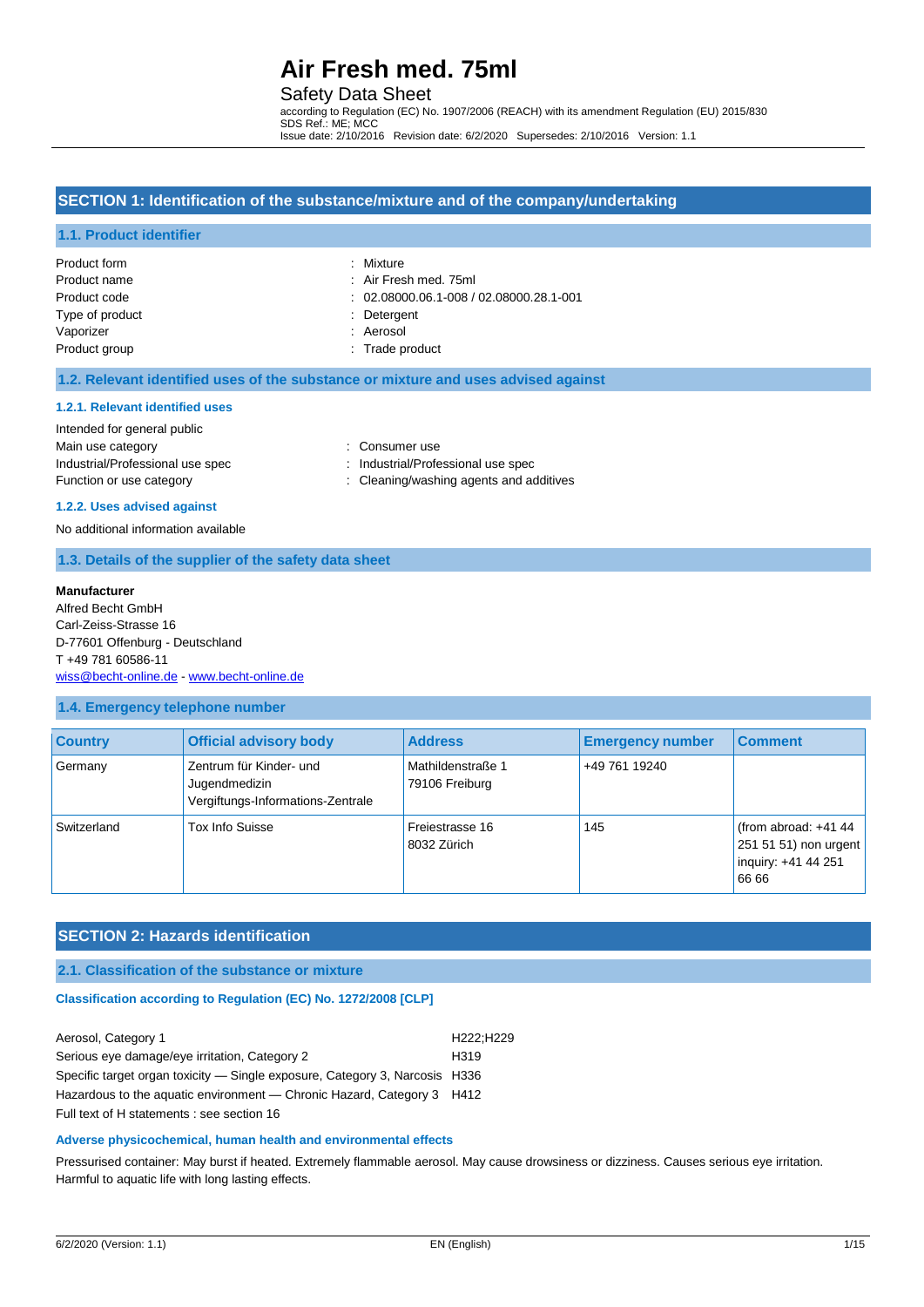### Safety Data Sheet

according to Regulation (EC) No. 1907/2006 (REACH) with its amendment Regulation (EU) 2015/830 SDS Ref.: ME; MCC Issue date: 2/10/2016 Revision date: 6/2/2020 Supersedes: 2/10/2016 Version: 1.1

## **SECTION 1: Identification of the substance/mixture and of the company/undertaking**

#### **1.1. Product identifier**

| Product form    | : Mixture                                     |
|-----------------|-----------------------------------------------|
| Product name    | : Air Fresh med. 75ml                         |
| Product code    | $: 02.08000.06.1 - 008 / 02.08000.28.1 - 001$ |
| Type of product | : Detergent                                   |
| Vaporizer       | : Aerosol                                     |
| Product group   | : Trade product                               |

#### **1.2. Relevant identified uses of the substance or mixture and uses advised against**

#### **1.2.1. Relevant identified uses**

#### Intended for general public

| Main use category                | : Consumer use     |
|----------------------------------|--------------------|
| Industrial/Professional use spec | : Industrial/Profe |
| Function or use category         | : Cleaning/wash    |

Irial/Professional use spec

ing/washing agents and additives

#### **1.2.2. Uses advised against**

No additional information available

### **1.3. Details of the supplier of the safety data sheet**

#### **Manufacturer**

Alfred Becht GmbH Carl-Zeiss-Strasse 16 D-77601 Offenburg - Deutschland T +49 781 60586-11 [wiss@becht-online.de](mailto:wiss@becht-online.de) - <www.becht-online.de>

#### **1.4. Emergency telephone number**

| <b>Country</b> | <b>Official advisory body</b>                                                 | <b>Address</b>                      | <b>Emergency number</b> | <b>Comment</b>                                                                  |
|----------------|-------------------------------------------------------------------------------|-------------------------------------|-------------------------|---------------------------------------------------------------------------------|
| Germany        | Zentrum für Kinder- und<br>Jugendmedizin<br>Vergiftungs-Informations-Zentrale | Mathildenstraße 1<br>79106 Freiburg | +49 761 19240           |                                                                                 |
| Switzerland    | Tox Info Suisse                                                               | Freiestrasse 16<br>8032 Zürich      | 145                     | (from abroad: $+41$ 44<br>251 51 51) non urgent<br>inquiry: +41 44 251<br>66 66 |

#### **SECTION 2: Hazards identification**

### **2.1. Classification of the substance or mixture**

#### **Classification according to Regulation (EC) No. 1272/2008 [CLP]**

| Aerosol, Category 1                                                         | H222:H229        |
|-----------------------------------------------------------------------------|------------------|
| Serious eye damage/eye irritation, Category 2                               | H <sub>319</sub> |
| Specific target organ toxicity — Single exposure, Category 3, Narcosis H336 |                  |
| Hazardous to the aguatic environment — Chronic Hazard, Category 3 H412      |                  |
| Full text of H statements : see section 16                                  |                  |

#### **Adverse physicochemical, human health and environmental effects**

Pressurised container: May burst if heated. Extremely flammable aerosol. May cause drowsiness or dizziness. Causes serious eye irritation. Harmful to aquatic life with long lasting effects.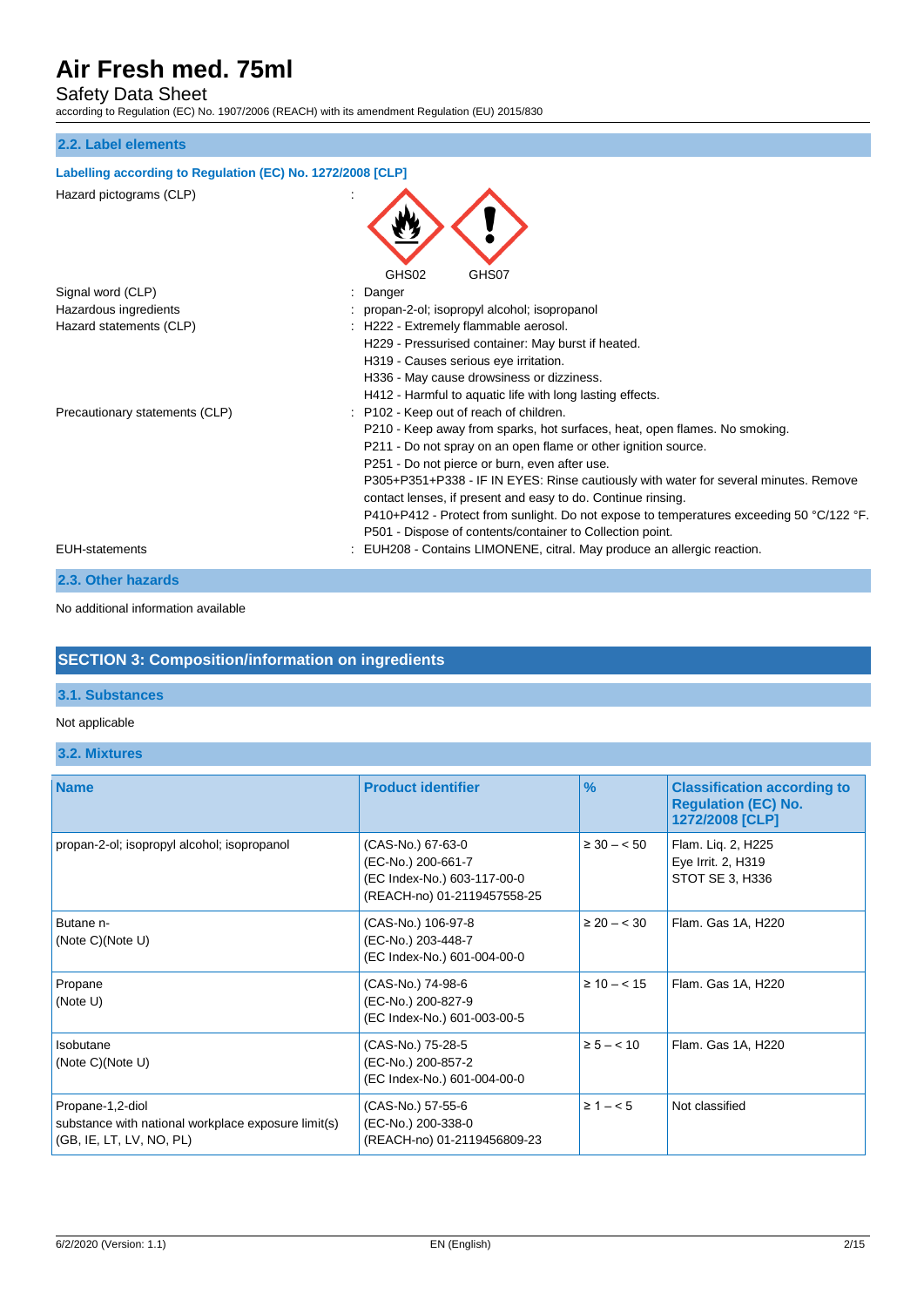# Safety Data Sheet

according to Regulation (EC) No. 1907/2006 (REACH) with its amendment Regulation (EU) 2015/830

### **2.2. Label elements**

### **Labelling according to Regulation (EC) No. 1272/2008 [CLP]**

| Hazard pictograms (CLP) |  |
|-------------------------|--|
|                         |  |

| Hazard pictograms (CLP)        | GHS02<br>GHS07                                                                                                                                       |
|--------------------------------|------------------------------------------------------------------------------------------------------------------------------------------------------|
| Signal word (CLP)              | Danger                                                                                                                                               |
| Hazardous ingredients          | : propan-2-ol; isopropyl alcohol; isopropanol                                                                                                        |
| Hazard statements (CLP)        | : H222 - Extremely flammable aerosol.                                                                                                                |
|                                | H229 - Pressurised container: May burst if heated.                                                                                                   |
|                                | H319 - Causes serious eye irritation.                                                                                                                |
|                                | H336 - May cause drowsiness or dizziness.                                                                                                            |
|                                | H412 - Harmful to aquatic life with long lasting effects.                                                                                            |
| Precautionary statements (CLP) | : P102 - Keep out of reach of children.                                                                                                              |
|                                | P210 - Keep away from sparks, hot surfaces, heat, open flames. No smoking.                                                                           |
|                                | P211 - Do not spray on an open flame or other ignition source.                                                                                       |
|                                | P251 - Do not pierce or burn, even after use.                                                                                                        |
|                                | P305+P351+P338 - IF IN EYES: Rinse cautiously with water for several minutes. Remove<br>contact lenses, if present and easy to do. Continue rinsing. |
|                                | P410+P412 - Protect from sunlight. Do not expose to temperatures exceeding 50 °C/122 °F.                                                             |
|                                | P501 - Dispose of contents/container to Collection point.                                                                                            |
| <b>EUH-statements</b>          | : EUH208 - Contains LIMONENE, citral. May produce an allergic reaction.                                                                              |
| 2.3. Other hazards             |                                                                                                                                                      |

No additional information available

# **SECTION 3: Composition/information on ingredients**

### **3.1. Substances**

## Not applicable

#### **3.2. Mixtures**

| <b>Name</b>                                                                                         | <b>Product identifier</b>                                                                             | $\frac{9}{6}$    | <b>Classification according to</b><br><b>Regulation (EC) No.</b><br>1272/2008 [CLP] |
|-----------------------------------------------------------------------------------------------------|-------------------------------------------------------------------------------------------------------|------------------|-------------------------------------------------------------------------------------|
| propan-2-ol; isopropyl alcohol; isopropanol                                                         | (CAS-No.) 67-63-0<br>(EC-No.) 200-661-7<br>(EC Index-No.) 603-117-00-0<br>(REACH-no) 01-2119457558-25 | $\geq 30 - 50$   | Flam. Lig. 2, H225<br>Eye Irrit. 2, H319<br>STOT SE 3, H336                         |
| Butane n-<br>(Note $C$ )(Note U)                                                                    | (CAS-No.) 106-97-8<br>(EC-No.) 203-448-7<br>(EC Index-No.) 601-004-00-0                               | $\geq 20 - < 30$ | Flam. Gas 1A, H220                                                                  |
| Propane<br>(Note U)                                                                                 | (CAS-No.) 74-98-6<br>(EC-No.) 200-827-9<br>(EC Index-No.) 601-003-00-5                                | $\geq 10 - < 15$ | Flam. Gas 1A, H220                                                                  |
| Isobutane<br>(Note C)(Note U)                                                                       | (CAS-No.) 75-28-5<br>(EC-No.) 200-857-2<br>(EC Index-No.) 601-004-00-0                                | $\ge 5 - < 10$   | Flam. Gas 1A, H220                                                                  |
| Propane-1,2-diol<br>substance with national workplace exposure limit(s)<br>(GB, IE, LT, LV, NO, PL) | (CAS-No.) 57-55-6<br>(EC-No.) 200-338-0<br>(REACH-no) 01-2119456809-23                                | $\ge 1 - 5$      | Not classified                                                                      |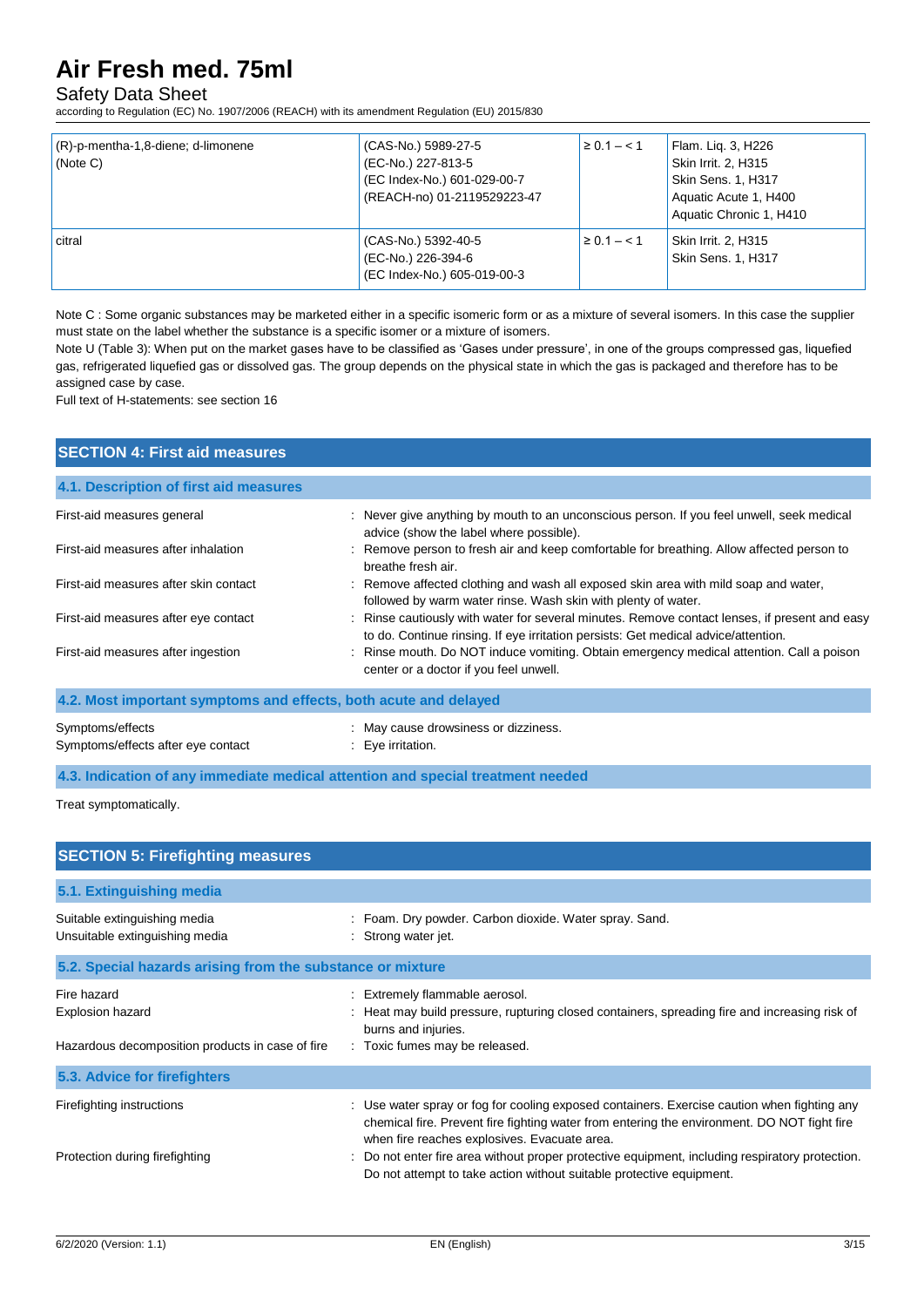# Safety Data Sheet

according to Regulation (EC) No. 1907/2006 (REACH) with its amendment Regulation (EU) 2015/830

| $(R)$ -p-mentha-1,8-diene; d-limonene<br>(Note C) | (CAS-No.) 5989-27-5<br>(EC-No.) 227-813-5<br>(EC Index-No.) 601-029-00-7<br>(REACH-no) 01-2119529223-47 | $\ge 0.1 - 1.1$ | Flam. Lig. 3, H226<br>Skin Irrit. 2, H315<br>Skin Sens. 1, H317<br>Aquatic Acute 1, H400<br>Aquatic Chronic 1, H410 |
|---------------------------------------------------|---------------------------------------------------------------------------------------------------------|-----------------|---------------------------------------------------------------------------------------------------------------------|
| citral                                            | (CAS-No.) 5392-40-5<br>(EC-No.) 226-394-6<br>(EC Index-No.) 605-019-00-3                                | $\ge 0.1 - 1.1$ | Skin Irrit. 2, H315<br><b>Skin Sens. 1, H317</b>                                                                    |

Note C : Some organic substances may be marketed either in a specific isomeric form or as a mixture of several isomers. In this case the supplier must state on the label whether the substance is a specific isomer or a mixture of isomers.

Note U (Table 3): When put on the market gases have to be classified as 'Gases under pressure', in one of the groups compressed gas, liquefied gas, refrigerated liquefied gas or dissolved gas. The group depends on the physical state in which the gas is packaged and therefore has to be assigned case by case.

Full text of H-statements: see section 16

| <b>SECTION 4: First aid measures</b>                             |                                                                                                                                                                                     |
|------------------------------------------------------------------|-------------------------------------------------------------------------------------------------------------------------------------------------------------------------------------|
| 4.1. Description of first aid measures                           |                                                                                                                                                                                     |
| First-aid measures general                                       | : Never give anything by mouth to an unconscious person. If you feel unwell, seek medical<br>advice (show the label where possible).                                                |
| First-aid measures after inhalation                              | : Remove person to fresh air and keep comfortable for breathing. Allow affected person to<br>breathe fresh air.                                                                     |
| First-aid measures after skin contact                            | : Remove affected clothing and wash all exposed skin area with mild soap and water,<br>followed by warm water rinse. Wash skin with plenty of water.                                |
| First-aid measures after eye contact                             | : Rinse cautiously with water for several minutes. Remove contact lenses, if present and easy<br>to do. Continue rinsing. If eye irritation persists: Get medical advice/attention. |
| First-aid measures after ingestion                               | : Rinse mouth. Do NOT induce vomiting. Obtain emergency medical attention. Call a poison<br>center or a doctor if you feel unwell.                                                  |
| 4.2. Most important symptoms and effects, both acute and delayed |                                                                                                                                                                                     |
| Symptoms/effects<br>Symptoms/effects after eye contact           | : May cause drowsiness or dizziness.<br>: Eye irritation.                                                                                                                           |

**4.3. Indication of any immediate medical attention and special treatment needed**

Treat symptomatically.

| <b>SECTION 5: Firefighting measures</b>                                             |                                                                                                                                                                                                                                                                                                                                                                                                                       |
|-------------------------------------------------------------------------------------|-----------------------------------------------------------------------------------------------------------------------------------------------------------------------------------------------------------------------------------------------------------------------------------------------------------------------------------------------------------------------------------------------------------------------|
| 5.1. Extinguishing media                                                            |                                                                                                                                                                                                                                                                                                                                                                                                                       |
| Suitable extinguishing media<br>Unsuitable extinguishing media                      | : Foam. Dry powder. Carbon dioxide. Water spray. Sand.<br>: Strong water jet.                                                                                                                                                                                                                                                                                                                                         |
| 5.2. Special hazards arising from the substance or mixture                          |                                                                                                                                                                                                                                                                                                                                                                                                                       |
| Fire hazard<br>Explosion hazard<br>Hazardous decomposition products in case of fire | : Extremely flammable aerosol.<br>Heat may build pressure, rupturing closed containers, spreading fire and increasing risk of<br>burns and injuries.<br>: Toxic fumes may be released.                                                                                                                                                                                                                                |
| 5.3. Advice for firefighters                                                        |                                                                                                                                                                                                                                                                                                                                                                                                                       |
| Firefighting instructions<br>Protection during firefighting                         | : Use water spray or fog for cooling exposed containers. Exercise caution when fighting any<br>chemical fire. Prevent fire fighting water from entering the environment. DO NOT fight fire<br>when fire reaches explosives. Evacuate area.<br>: Do not enter fire area without proper protective equipment, including respiratory protection.<br>Do not attempt to take action without suitable protective equipment. |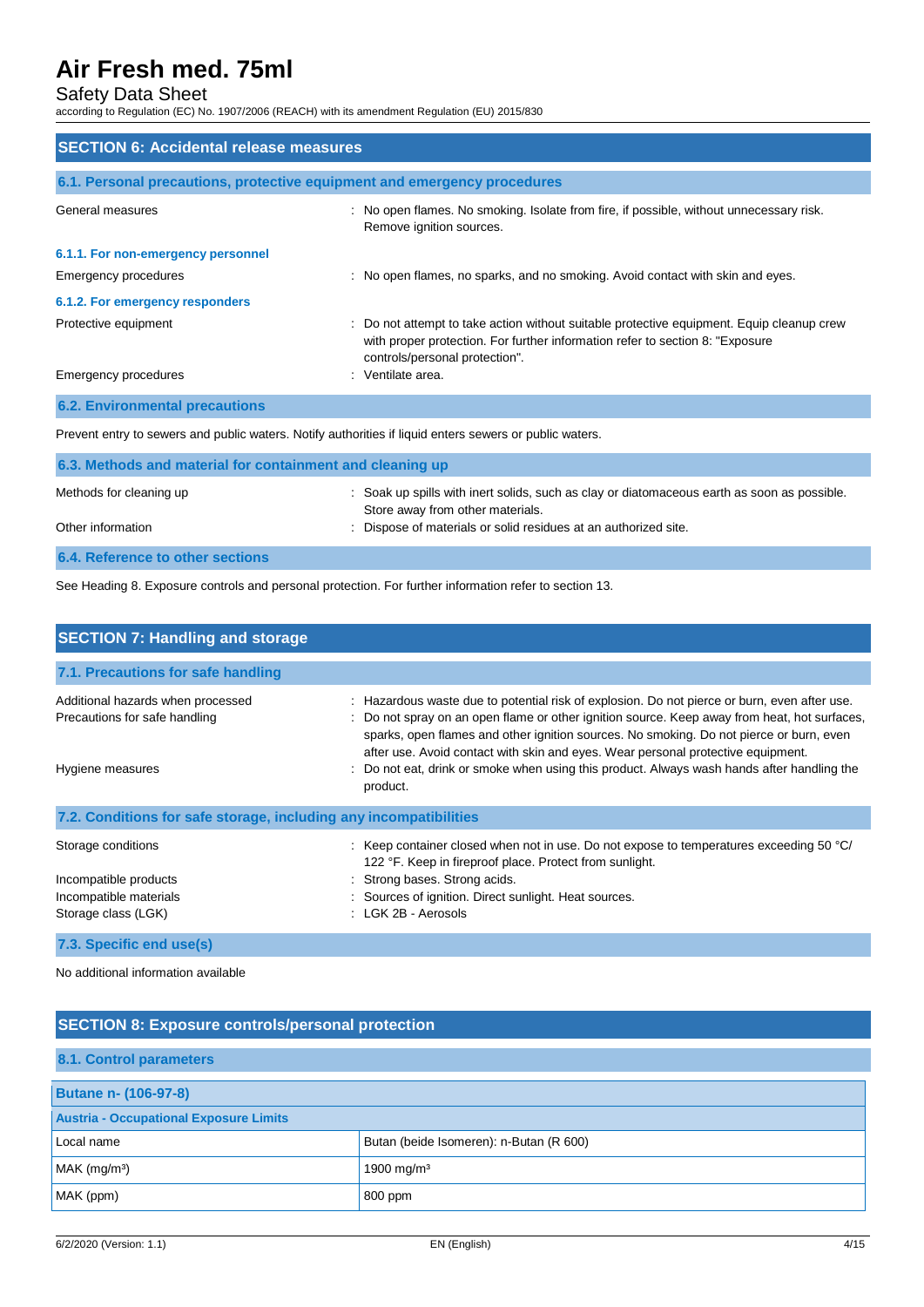# Safety Data Sheet

according to Regulation (EC) No. 1907/2006 (REACH) with its amendment Regulation (EU) 2015/830

| <b>SECTION 6: Accidental release measures</b>                            |                                                                                                                                                                                                              |  |
|--------------------------------------------------------------------------|--------------------------------------------------------------------------------------------------------------------------------------------------------------------------------------------------------------|--|
| 6.1. Personal precautions, protective equipment and emergency procedures |                                                                                                                                                                                                              |  |
| General measures                                                         | : No open flames. No smoking. Isolate from fire, if possible, without unnecessary risk.<br>Remove ignition sources.                                                                                          |  |
| 6.1.1. For non-emergency personnel                                       |                                                                                                                                                                                                              |  |
| Emergency procedures                                                     | : No open flames, no sparks, and no smoking. Avoid contact with skin and eyes.                                                                                                                               |  |
| 6.1.2. For emergency responders                                          |                                                                                                                                                                                                              |  |
| Protective equipment                                                     | : Do not attempt to take action without suitable protective equipment. Equip cleanup crew<br>with proper protection. For further information refer to section 8: "Exposure<br>controls/personal protection". |  |
| Emergency procedures                                                     | : Ventilate area.                                                                                                                                                                                            |  |
| <b>6.2. Environmental precautions</b>                                    |                                                                                                                                                                                                              |  |

Prevent entry to sewers and public waters. Notify authorities if liquid enters sewers or public waters.

| 6.3. Methods and material for containment and cleaning up |                                                                                                                                 |
|-----------------------------------------------------------|---------------------------------------------------------------------------------------------------------------------------------|
| Methods for cleaning up                                   | : Soak up spills with inert solids, such as clay or diatomaceous earth as soon as possible.<br>Store away from other materials. |
| Other information                                         | : Dispose of materials or solid residues at an authorized site.                                                                 |
| 6.4. Reference to other sections                          |                                                                                                                                 |

See Heading 8. Exposure controls and personal protection. For further information refer to section 13.

| <b>SECTION 7: Handling and storage</b>                             |                                                                                                                                                                                                                                                                                                                                                                           |  |  |
|--------------------------------------------------------------------|---------------------------------------------------------------------------------------------------------------------------------------------------------------------------------------------------------------------------------------------------------------------------------------------------------------------------------------------------------------------------|--|--|
| 7.1. Precautions for safe handling                                 |                                                                                                                                                                                                                                                                                                                                                                           |  |  |
| Additional hazards when processed<br>Precautions for safe handling | : Hazardous waste due to potential risk of explosion. Do not pierce or burn, even after use.<br>Do not spray on an open flame or other ignition source. Keep away from heat, hot surfaces,<br>sparks, open flames and other ignition sources. No smoking. Do not pierce or burn, even<br>after use. Avoid contact with skin and eyes. Wear personal protective equipment. |  |  |
| Hygiene measures                                                   | Do not eat, drink or smoke when using this product. Always wash hands after handling the<br>product.                                                                                                                                                                                                                                                                      |  |  |
| 7.2. Conditions for safe storage, including any incompatibilities  |                                                                                                                                                                                                                                                                                                                                                                           |  |  |
| Storage conditions                                                 | : Keep container closed when not in use. Do not expose to temperatures exceeding 50 $^{\circ}$ C/<br>122 °F. Keep in fireproof place. Protect from sunlight.                                                                                                                                                                                                              |  |  |
| Incompatible products                                              | : Strong bases. Strong acids.                                                                                                                                                                                                                                                                                                                                             |  |  |
| Incompatible materials                                             | : Sources of ignition. Direct sunlight. Heat sources.                                                                                                                                                                                                                                                                                                                     |  |  |
| Storage class (LGK)                                                | : LGK 2B - Aerosols                                                                                                                                                                                                                                                                                                                                                       |  |  |
| 7.3. Specific end use(s)                                           |                                                                                                                                                                                                                                                                                                                                                                           |  |  |

No additional information available

| <b>SECTION 8: Exposure controls/personal protection</b> |                                         |  |  |
|---------------------------------------------------------|-----------------------------------------|--|--|
| 8.1. Control parameters                                 |                                         |  |  |
| <b>Butane n- (106-97-8)</b>                             |                                         |  |  |
| <b>Austria - Occupational Exposure Limits</b>           |                                         |  |  |
| Local name                                              | Butan (beide Isomeren): n-Butan (R 600) |  |  |
| $MAK$ (mg/m <sup>3</sup> )                              | 1900 mg/m <sup>3</sup>                  |  |  |
| MAK (ppm)                                               | 800 ppm                                 |  |  |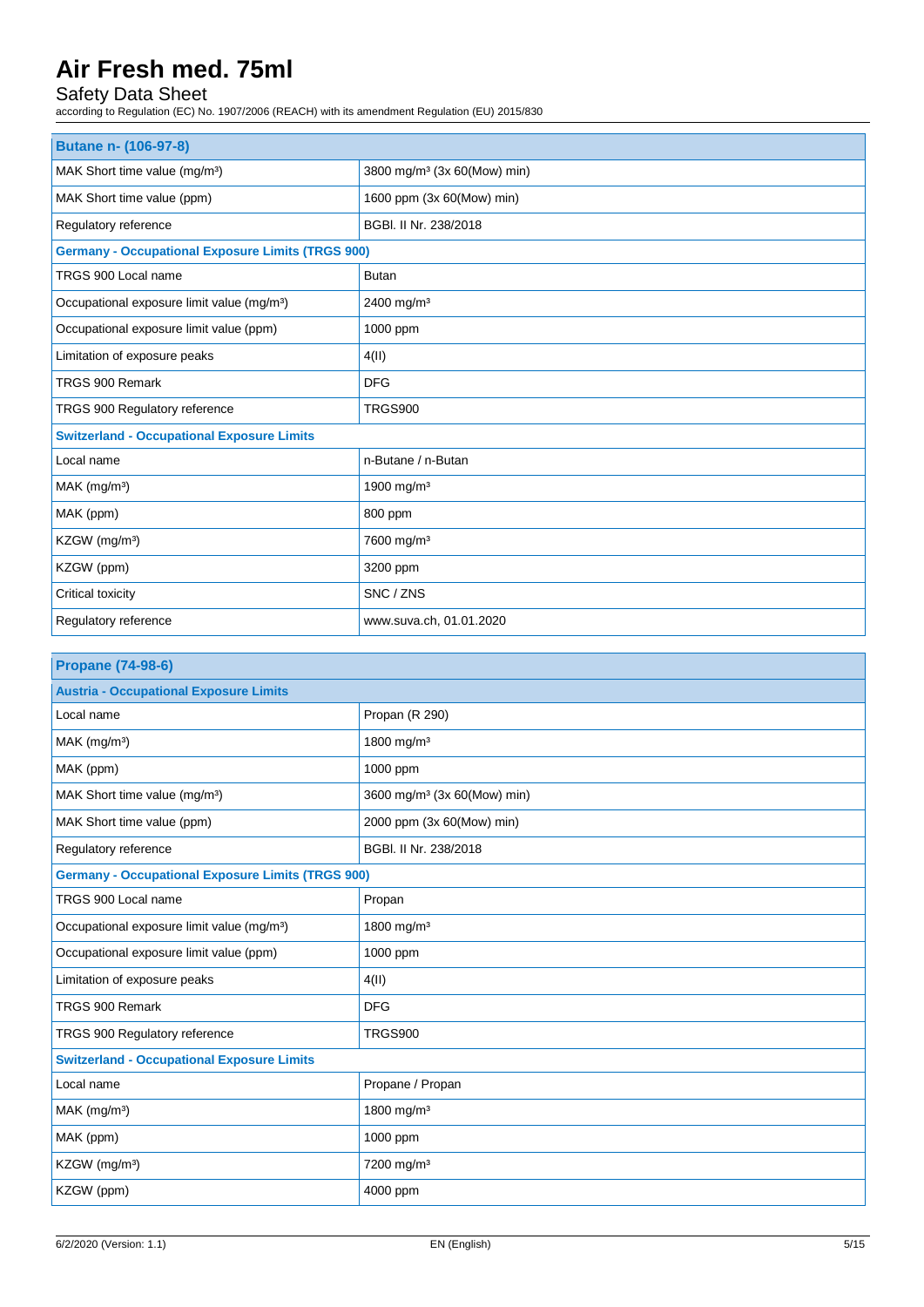# Safety Data Sheet

according to Regulation (EC) No. 1907/2006 (REACH) with its amendment Regulation (EU) 2015/830

| <b>Butane n- (106-97-8)</b>                              |                                         |  |  |
|----------------------------------------------------------|-----------------------------------------|--|--|
| MAK Short time value (mg/m <sup>3</sup> )                | 3800 mg/m <sup>3</sup> (3x 60(Mow) min) |  |  |
| MAK Short time value (ppm)                               | 1600 ppm (3x 60(Mow) min)               |  |  |
| Regulatory reference                                     | BGBI. II Nr. 238/2018                   |  |  |
| <b>Germany - Occupational Exposure Limits (TRGS 900)</b> |                                         |  |  |
| TRGS 900 Local name                                      | <b>Butan</b>                            |  |  |
| Occupational exposure limit value (mg/m <sup>3</sup> )   | 2400 mg/m <sup>3</sup>                  |  |  |
| Occupational exposure limit value (ppm)                  | 1000 ppm                                |  |  |
| Limitation of exposure peaks                             | 4(II)                                   |  |  |
| TRGS 900 Remark                                          | <b>DFG</b>                              |  |  |
| TRGS 900 Regulatory reference                            | <b>TRGS900</b>                          |  |  |
| <b>Switzerland - Occupational Exposure Limits</b>        |                                         |  |  |
| Local name                                               | n-Butane / n-Butan                      |  |  |
| $MAK$ (mg/m <sup>3</sup> )                               | 1900 mg/m <sup>3</sup>                  |  |  |
| MAK (ppm)                                                | 800 ppm                                 |  |  |
| KZGW (mg/m <sup>3</sup> )                                | 7600 mg/m <sup>3</sup>                  |  |  |
| KZGW (ppm)                                               | 3200 ppm                                |  |  |
| Critical toxicity                                        | SNC / ZNS                               |  |  |
| Regulatory reference                                     | www.suva.ch, 01.01.2020                 |  |  |

| <b>Propane (74-98-6)</b>                                 |                                         |  |
|----------------------------------------------------------|-----------------------------------------|--|
| <b>Austria - Occupational Exposure Limits</b>            |                                         |  |
| Local name                                               | Propan (R 290)                          |  |
| $MAK$ (mg/m <sup>3</sup> )                               | 1800 mg/m <sup>3</sup>                  |  |
| MAK (ppm)                                                | 1000 ppm                                |  |
| MAK Short time value (mg/m <sup>3</sup> )                | 3600 mg/m <sup>3</sup> (3x 60(Mow) min) |  |
| MAK Short time value (ppm)                               | 2000 ppm (3x 60(Mow) min)               |  |
| BGBI. II Nr. 238/2018<br>Regulatory reference            |                                         |  |
| <b>Germany - Occupational Exposure Limits (TRGS 900)</b> |                                         |  |
| TRGS 900 Local name                                      | Propan                                  |  |
| Occupational exposure limit value (mg/m <sup>3</sup> )   | 1800 mg/m <sup>3</sup>                  |  |
| Occupational exposure limit value (ppm)                  | 1000 ppm                                |  |
| Limitation of exposure peaks                             | 4(II)                                   |  |
| TRGS 900 Remark                                          | <b>DFG</b>                              |  |
| TRGS 900 Regulatory reference                            | <b>TRGS900</b>                          |  |
| <b>Switzerland - Occupational Exposure Limits</b>        |                                         |  |
| Local name                                               | Propane / Propan                        |  |
| MAK (mg/m <sup>3</sup> )                                 | 1800 mg/m <sup>3</sup>                  |  |
| MAK (ppm)                                                | 1000 ppm                                |  |
| KZGW (mg/m <sup>3</sup> )                                | 7200 mg/m <sup>3</sup>                  |  |
| KZGW (ppm)                                               | 4000 ppm                                |  |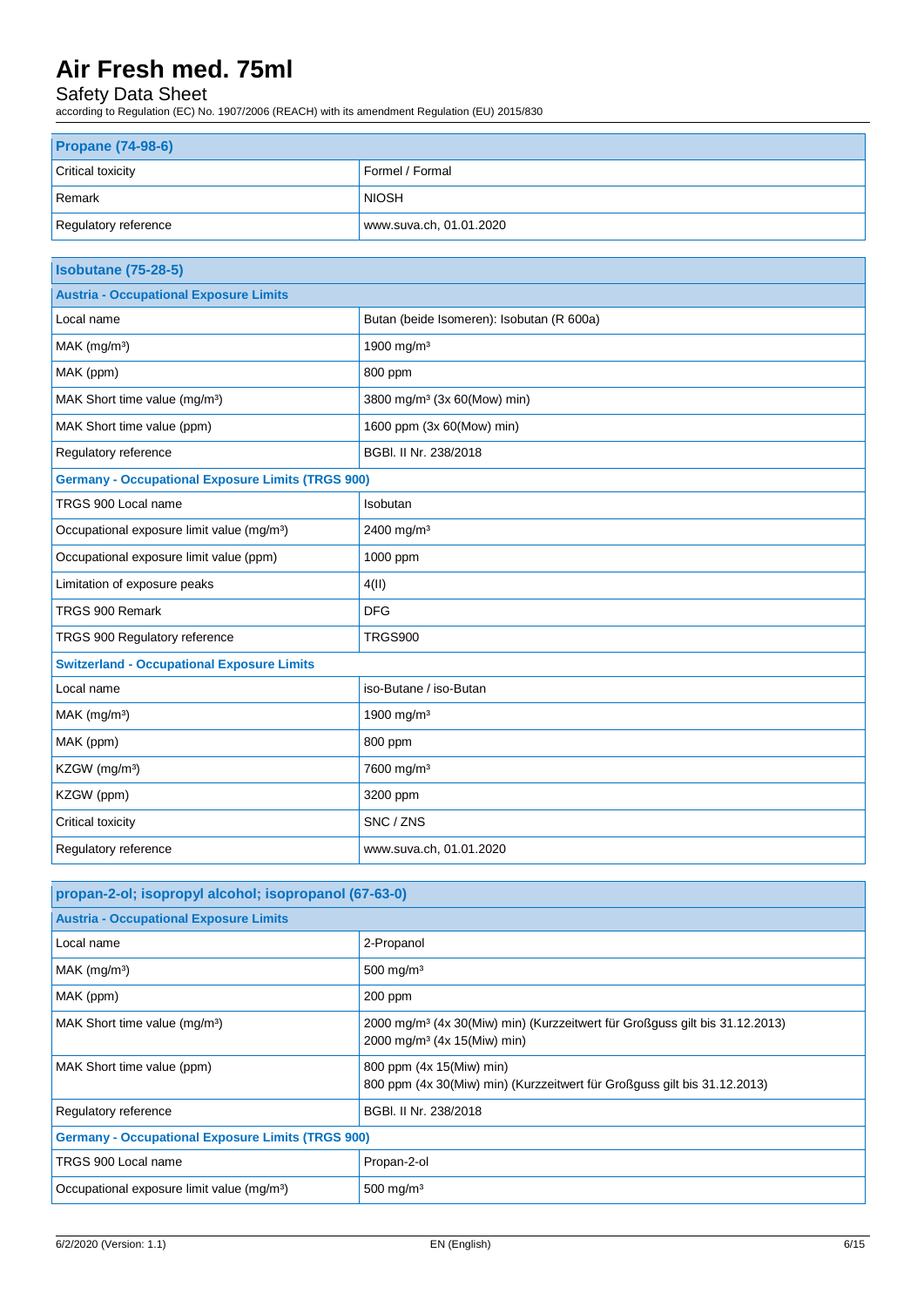# Safety Data Sheet

according to Regulation (EC) No. 1907/2006 (REACH) with its amendment Regulation (EU) 2015/830

| <b>Propane (74-98-6)</b> |                         |  |
|--------------------------|-------------------------|--|
| <b>Critical toxicity</b> | Formel / Formal         |  |
| Remark                   | <b>NIOSH</b>            |  |
| Regulatory reference     | www.suva.ch, 01.01.2020 |  |

| <b>Isobutane (75-28-5)</b>                               |                                           |  |  |
|----------------------------------------------------------|-------------------------------------------|--|--|
| <b>Austria - Occupational Exposure Limits</b>            |                                           |  |  |
| Local name                                               | Butan (beide Isomeren): Isobutan (R 600a) |  |  |
| MAK (mg/m <sup>3</sup> )                                 | 1900 mg/m <sup>3</sup>                    |  |  |
| MAK (ppm)                                                | 800 ppm                                   |  |  |
| MAK Short time value (mg/m <sup>3</sup> )                | 3800 mg/m <sup>3</sup> (3x 60(Mow) min)   |  |  |
| MAK Short time value (ppm)                               | 1600 ppm (3x 60(Mow) min)                 |  |  |
| Regulatory reference                                     | BGBI. II Nr. 238/2018                     |  |  |
| <b>Germany - Occupational Exposure Limits (TRGS 900)</b> |                                           |  |  |
| TRGS 900 Local name                                      | Isobutan                                  |  |  |
| Occupational exposure limit value (mg/m <sup>3</sup> )   | 2400 mg/m <sup>3</sup>                    |  |  |
| Occupational exposure limit value (ppm)                  | 1000 ppm                                  |  |  |
| Limitation of exposure peaks                             | 4(II)                                     |  |  |
| TRGS 900 Remark                                          | <b>DFG</b>                                |  |  |
| TRGS 900 Regulatory reference                            | <b>TRGS900</b>                            |  |  |
| <b>Switzerland - Occupational Exposure Limits</b>        |                                           |  |  |
| Local name                                               | iso-Butane / iso-Butan                    |  |  |
| MAK (mg/m <sup>3</sup> )                                 | 1900 mg/m <sup>3</sup>                    |  |  |
| MAK (ppm)                                                | 800 ppm                                   |  |  |
| KZGW (mg/m <sup>3</sup> )                                | 7600 mg/m <sup>3</sup>                    |  |  |
| KZGW (ppm)                                               | 3200 ppm                                  |  |  |
| Critical toxicity                                        | SNC / ZNS                                 |  |  |
| Regulatory reference                                     | www.suva.ch, 01.01.2020                   |  |  |

| propan-2-ol; isopropyl alcohol; isopropanol (67-63-0)    |                                                                                                                                    |  |  |
|----------------------------------------------------------|------------------------------------------------------------------------------------------------------------------------------------|--|--|
| <b>Austria - Occupational Exposure Limits</b>            |                                                                                                                                    |  |  |
| Local name                                               | 2-Propanol                                                                                                                         |  |  |
| $MAK$ (mg/m <sup>3</sup> )                               | 500 mg/m $3$                                                                                                                       |  |  |
| MAK (ppm)                                                | $200$ ppm                                                                                                                          |  |  |
| MAK Short time value (mg/m <sup>3</sup> )                | 2000 mg/m <sup>3</sup> (4x 30(Miw) min) (Kurzzeitwert für Großguss gilt bis 31.12.2013)<br>2000 mg/m <sup>3</sup> (4x 15(Miw) min) |  |  |
| MAK Short time value (ppm)                               | 800 ppm (4x 15(Miw) min)<br>800 ppm (4x 30(Miw) min) (Kurzzeitwert für Großguss gilt bis 31.12.2013)                               |  |  |
| Regulatory reference                                     | BGBI. II Nr. 238/2018                                                                                                              |  |  |
| <b>Germany - Occupational Exposure Limits (TRGS 900)</b> |                                                                                                                                    |  |  |
| TRGS 900 Local name                                      | Propan-2-ol                                                                                                                        |  |  |
| Occupational exposure limit value (mg/m <sup>3</sup> )   | 500 mg/m $3$                                                                                                                       |  |  |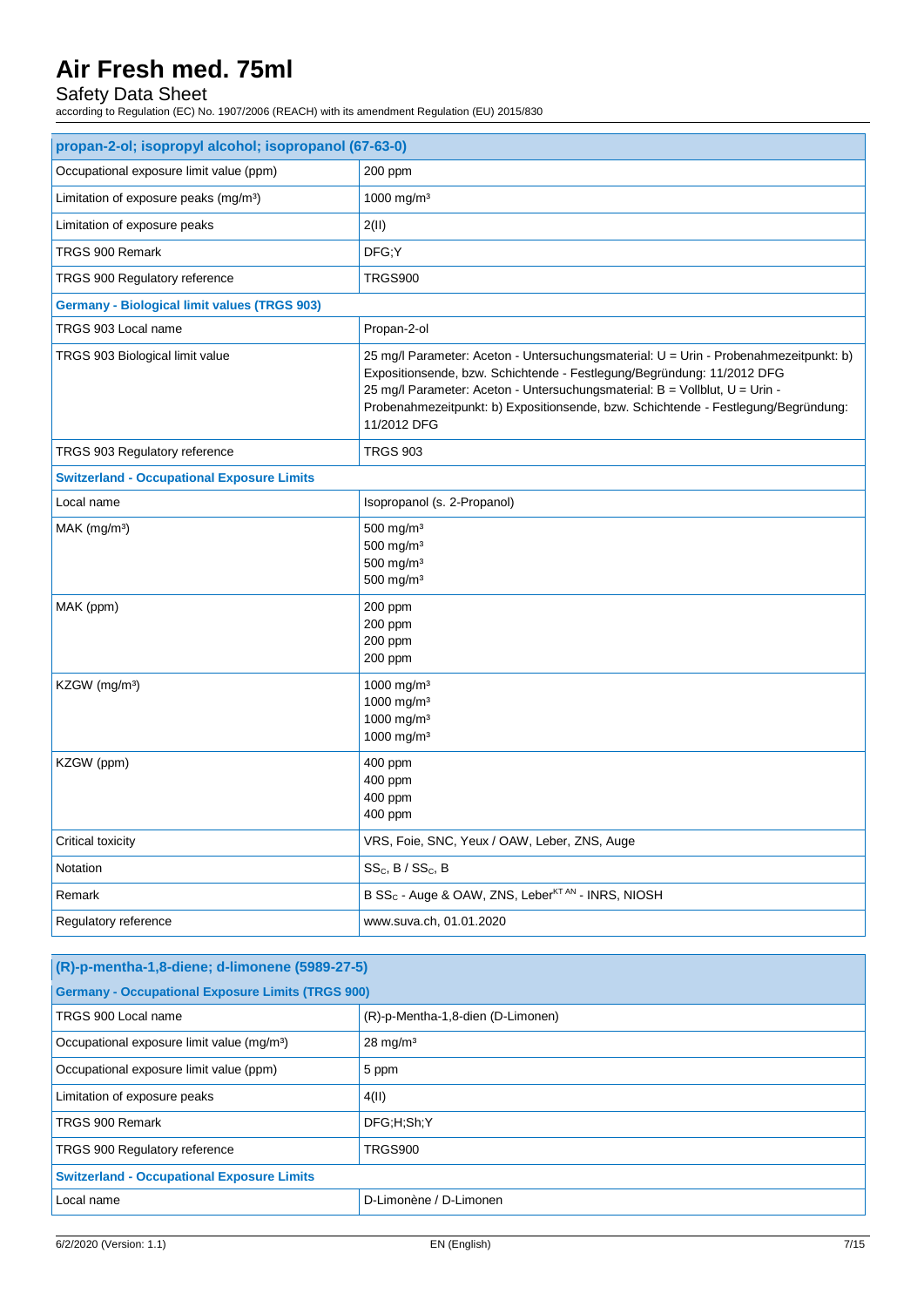# Safety Data Sheet

according to Regulation (EC) No. 1907/2006 (REACH) with its amendment Regulation (EU) 2015/830

| propan-2-ol; isopropyl alcohol; isopropanol (67-63-0) |                                                                                                                                                                                                                                                                                                                                                     |  |  |
|-------------------------------------------------------|-----------------------------------------------------------------------------------------------------------------------------------------------------------------------------------------------------------------------------------------------------------------------------------------------------------------------------------------------------|--|--|
| Occupational exposure limit value (ppm)               | 200 ppm                                                                                                                                                                                                                                                                                                                                             |  |  |
| Limitation of exposure peaks (mg/m <sup>3</sup> )     | 1000 mg/m <sup>3</sup>                                                                                                                                                                                                                                                                                                                              |  |  |
| Limitation of exposure peaks                          | 2(11)                                                                                                                                                                                                                                                                                                                                               |  |  |
| TRGS 900 Remark                                       | DFG;Y                                                                                                                                                                                                                                                                                                                                               |  |  |
| TRGS 900 Regulatory reference                         | <b>TRGS900</b>                                                                                                                                                                                                                                                                                                                                      |  |  |
| <b>Germany - Biological limit values (TRGS 903)</b>   |                                                                                                                                                                                                                                                                                                                                                     |  |  |
| TRGS 903 Local name                                   | Propan-2-ol                                                                                                                                                                                                                                                                                                                                         |  |  |
| TRGS 903 Biological limit value                       | 25 mg/l Parameter: Aceton - Untersuchungsmaterial: U = Urin - Probenahmezeitpunkt: b)<br>Expositionsende, bzw. Schichtende - Festlegung/Begründung: 11/2012 DFG<br>25 mg/l Parameter: Aceton - Untersuchungsmaterial: B = Vollblut, U = Urin -<br>Probenahmezeitpunkt: b) Expositionsende, bzw. Schichtende - Festlegung/Begründung:<br>11/2012 DFG |  |  |
| <b>TRGS 903 Regulatory reference</b>                  | <b>TRGS 903</b>                                                                                                                                                                                                                                                                                                                                     |  |  |
| <b>Switzerland - Occupational Exposure Limits</b>     |                                                                                                                                                                                                                                                                                                                                                     |  |  |
| Local name                                            | Isopropanol (s. 2-Propanol)                                                                                                                                                                                                                                                                                                                         |  |  |
| $MAK$ (mg/m <sup>3</sup> )                            | $500$ mg/m <sup>3</sup><br>500 mg/m <sup>3</sup><br>500 mg/m <sup>3</sup><br>$500$ mg/m <sup>3</sup>                                                                                                                                                                                                                                                |  |  |
| MAK (ppm)                                             | 200 ppm<br>200 ppm<br>200 ppm<br>200 ppm                                                                                                                                                                                                                                                                                                            |  |  |
| KZGW (mg/m <sup>3</sup> )                             | 1000 mg/m <sup>3</sup><br>1000 mg/m <sup>3</sup><br>1000 mg/m <sup>3</sup><br>1000 mg/m <sup>3</sup>                                                                                                                                                                                                                                                |  |  |
| KZGW (ppm)                                            | 400 ppm<br>400 ppm<br>400 ppm<br>400 ppm                                                                                                                                                                                                                                                                                                            |  |  |
| Critical toxicity                                     | VRS, Foie, SNC, Yeux / OAW, Leber, ZNS, Auge                                                                                                                                                                                                                                                                                                        |  |  |
| Notation                                              | $SS_C$ , B / $SS_C$ , B                                                                                                                                                                                                                                                                                                                             |  |  |
| Remark                                                | B SS <sub>c</sub> - Auge & OAW, ZNS, Leber <sup>KT AN</sup> - INRS, NIOSH                                                                                                                                                                                                                                                                           |  |  |
| Regulatory reference                                  | www.suva.ch, 01.01.2020                                                                                                                                                                                                                                                                                                                             |  |  |

| (R)-p-mentha-1,8-diene; d-limonene (5989-27-5)           |                                   |  |
|----------------------------------------------------------|-----------------------------------|--|
| <b>Germany - Occupational Exposure Limits (TRGS 900)</b> |                                   |  |
| TRGS 900 Local name                                      | (R)-p-Mentha-1,8-dien (D-Limonen) |  |
| Occupational exposure limit value (mg/m <sup>3</sup> )   | $28 \text{ mg/m}^3$               |  |
| Occupational exposure limit value (ppm)                  | 5 ppm                             |  |
| Limitation of exposure peaks                             | 4(11)                             |  |
| TRGS 900 Remark                                          | DFG:H:Sh:Y                        |  |
| TRGS 900 Regulatory reference                            | TRGS900                           |  |
| <b>Switzerland - Occupational Exposure Limits</b>        |                                   |  |
| Local name                                               | D-Limonène / D-Limonen            |  |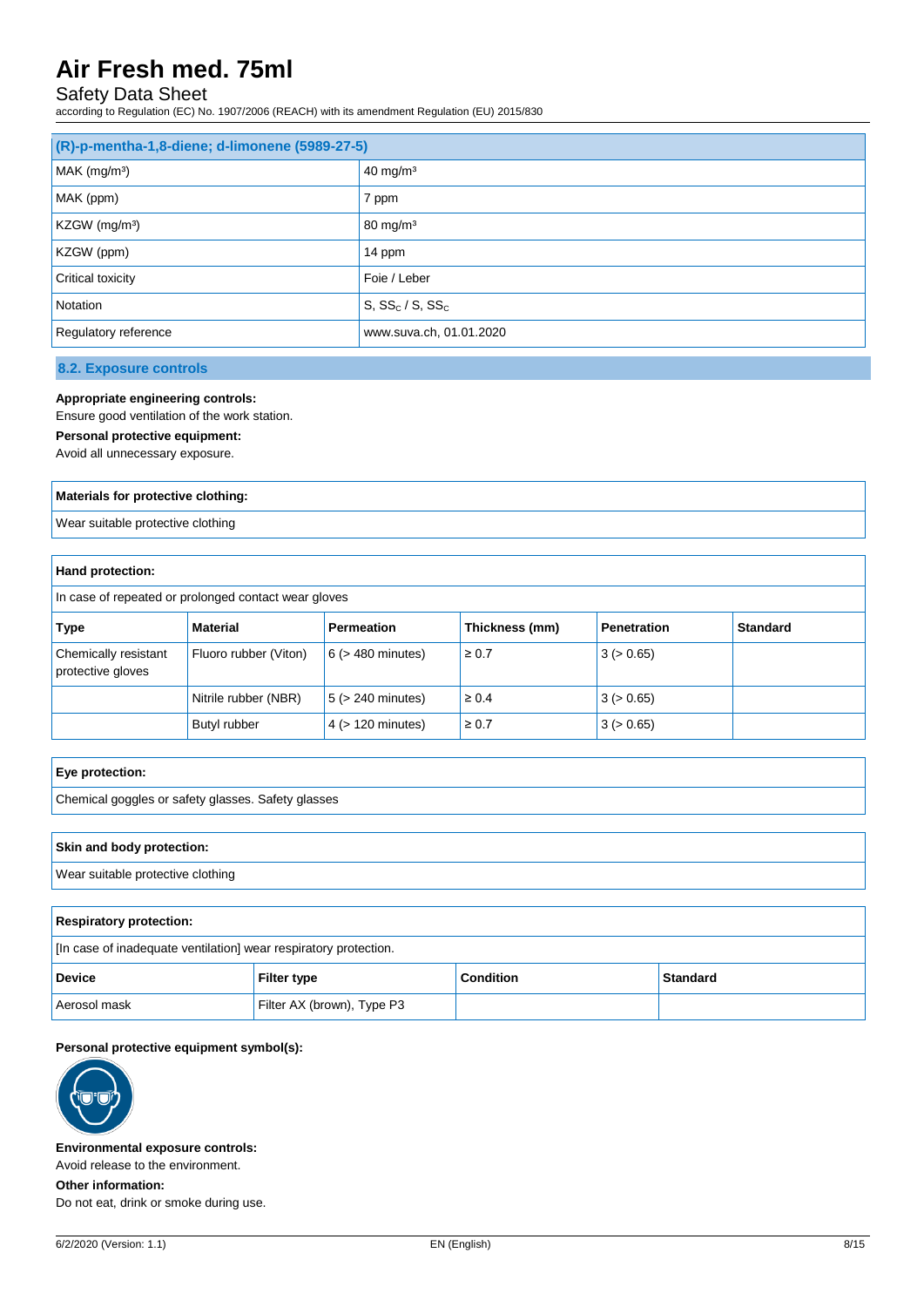# Safety Data Sheet

according to Regulation (EC) No. 1907/2006 (REACH) with its amendment Regulation (EU) 2015/830

| (R)-p-mentha-1,8-diene; d-limonene (5989-27-5) |                         |  |
|------------------------------------------------|-------------------------|--|
| MAK (mg/m <sup>3</sup> )                       | $40 \text{ mg/m}^3$     |  |
| MAK (ppm)                                      | 7 ppm                   |  |
| KZGW (mg/m <sup>3</sup> )                      | $80 \text{ mg/m}^3$     |  |
| KZGW (ppm)                                     | 14 ppm                  |  |
| Critical toxicity                              | Foie / Leber            |  |
| Notation                                       | $S, SS_c/S, SS_c$       |  |
| Regulatory reference                           | www.suva.ch, 01.01.2020 |  |

**8.2. Exposure controls**

### **Appropriate engineering controls:**

Ensure good ventilation of the work station.

### **Personal protective equipment:**

Avoid all unnecessary exposure.

#### **Materials for protective clothing:**

Wear suitable protective clothing

### **Hand protection:**

In case of repeated or prolonged contact wear gloves

| Type                                      | Material              | Permeation             | Thickness (mm) | <b>Penetration</b> | <b>Standard</b> |
|-------------------------------------------|-----------------------|------------------------|----------------|--------------------|-----------------|
| Chemically resistant<br>protective gloves | Fluoro rubber (Viton) | $6$ ( $>$ 480 minutes) | $\geq 0.7$     | 3 (> 0.65)         |                 |
|                                           | Nitrile rubber (NBR)  | $5$ ( $>$ 240 minutes) | $\geq 0.4$     | 3 (> 0.65)         |                 |
|                                           | Butyl rubber          | $4$ ( $> 120$ minutes) | $\geq 0.7$     | 3 (> 0.65)         |                 |

| Eye protection:                                                  |  |
|------------------------------------------------------------------|--|
| Chemical goggles or safety glasses. Safety glasses               |  |
|                                                                  |  |
| Skin and body protection:                                        |  |
| Wear suitable protective clothing                                |  |
|                                                                  |  |
| <b>Respiratory protection:</b>                                   |  |
| [In case of inadequate ventilation] wear respiratory protection. |  |

| . .            |                            |                  |          |  |  |  |
|----------------|----------------------------|------------------|----------|--|--|--|
| <b>Device</b>  | <b>Filter type</b>         | <b>Condition</b> | Standard |  |  |  |
| l Aerosol mask | Filter AX (brown), Type P3 |                  |          |  |  |  |

#### **Personal protective equipment symbol(s):**



**Environmental exposure controls:**

Avoid release to the environment. **Other information:**

Do not eat, drink or smoke during use.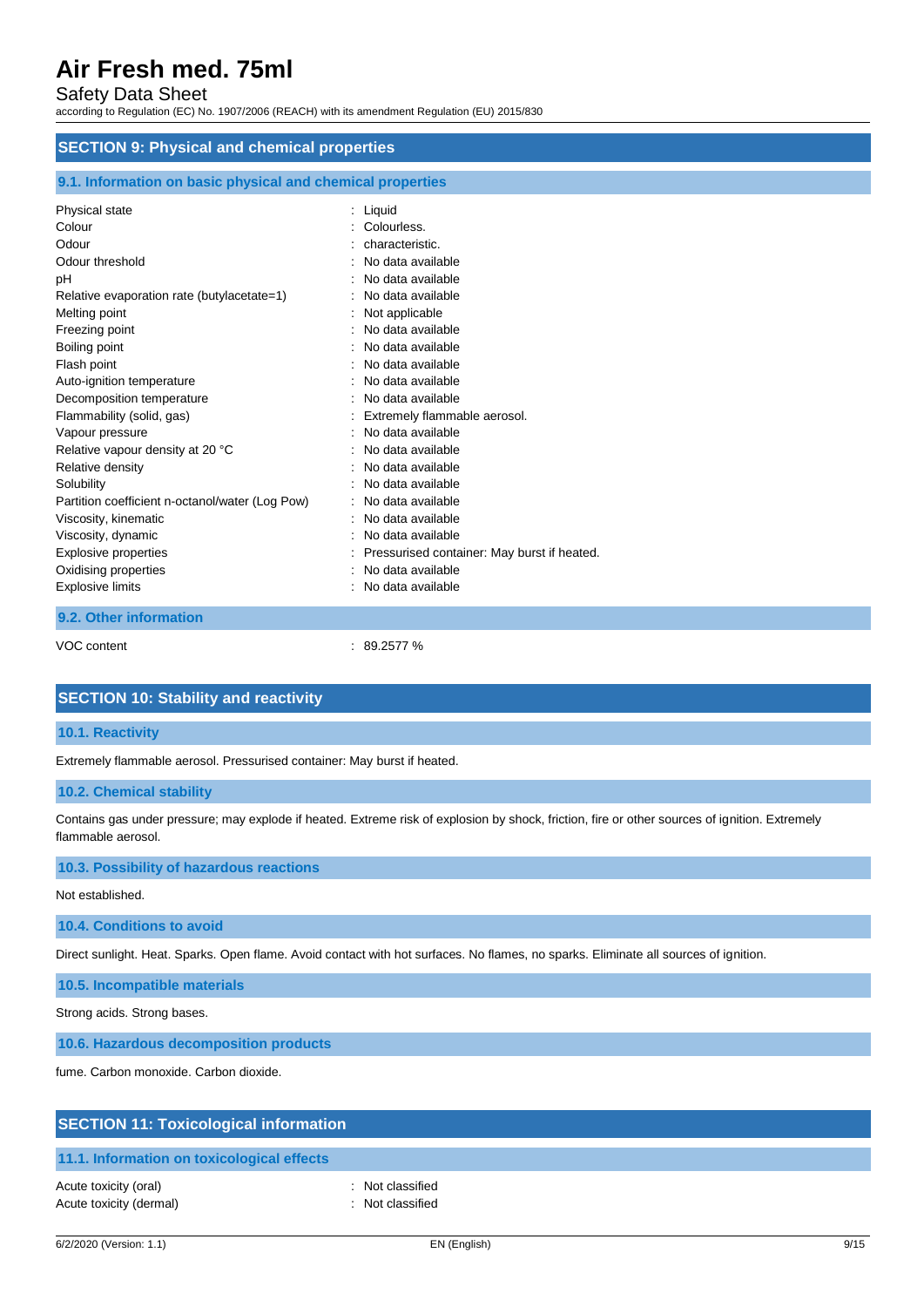## Safety Data Sheet

according to Regulation (EC) No. 1907/2006 (REACH) with its amendment Regulation (EU) 2015/830

### **SECTION 9: Physical and chemical properties**

| 9.1. Information on basic physical and chemical properties                                                                                                                                                                                                                                                                                                                                                                                                                                                          |                                                                                                                                                                                                                                                                                                                                                                                                                                                                                               |  |  |
|---------------------------------------------------------------------------------------------------------------------------------------------------------------------------------------------------------------------------------------------------------------------------------------------------------------------------------------------------------------------------------------------------------------------------------------------------------------------------------------------------------------------|-----------------------------------------------------------------------------------------------------------------------------------------------------------------------------------------------------------------------------------------------------------------------------------------------------------------------------------------------------------------------------------------------------------------------------------------------------------------------------------------------|--|--|
| Physical state<br>Colour<br>Odour<br>Odour threshold<br>pH<br>Relative evaporation rate (butylacetate=1)<br>Melting point<br>Freezing point<br>Boiling point<br>Flash point<br>Auto-ignition temperature<br>Decomposition temperature<br>Flammability (solid, gas)<br>Vapour pressure<br>Relative vapour density at 20 °C<br>Relative density<br>Solubility<br>Partition coefficient n-octanol/water (Log Pow)<br>Viscosity, kinematic<br>Viscosity, dynamic<br><b>Explosive properties</b><br>Oxidising properties | : Liquid<br>Colourless.<br>characteristic.<br>No data available<br>No data available<br>No data available<br>Not applicable<br>No data available<br>No data available<br>No data available<br>No data available<br>No data available<br>Extremely flammable aerosol.<br>No data available<br>No data available<br>No data available<br>No data available<br>No data available<br>: No data available<br>No data available<br>Pressurised container: May burst if heated.<br>No data available |  |  |
| <b>Explosive limits</b>                                                                                                                                                                                                                                                                                                                                                                                                                                                                                             | : No data available                                                                                                                                                                                                                                                                                                                                                                                                                                                                           |  |  |
| 9.2. Other information                                                                                                                                                                                                                                                                                                                                                                                                                                                                                              |                                                                                                                                                                                                                                                                                                                                                                                                                                                                                               |  |  |

VOC content : 89.2577 %

## **SECTION 10: Stability and reactivity**

### **10.1. Reactivity**

Extremely flammable aerosol. Pressurised container: May burst if heated.

#### **10.2. Chemical stability**

Contains gas under pressure; may explode if heated. Extreme risk of explosion by shock, friction, fire or other sources of ignition. Extremely flammable aerosol.

### **10.3. Possibility of hazardous reactions**

Not established.

### **10.4. Conditions to avoid**

Direct sunlight. Heat. Sparks. Open flame. Avoid contact with hot surfaces. No flames, no sparks. Eliminate all sources of ignition.

### **10.5. Incompatible materials**

Strong acids. Strong bases.

**10.6. Hazardous decomposition products**

fume. Carbon monoxide. Carbon dioxide.

| <b>SECTION 11: Toxicological information</b> |                  |  |  |  |
|----------------------------------------------|------------------|--|--|--|
| 11.1. Information on toxicological effects   |                  |  |  |  |
| Acute toxicity (oral)                        | : Not classified |  |  |  |

Acute toxicity (dermal) **Example 2** Contract 2 Contract 2 Contract 2 Contract 2 Contract 2 Contract 2 Contract 2 Contract 2 Contract 2 Contract 2 Contract 2 Contract 2 Contract 2 Contract 2 Contract 2 Contract 2 Contract 2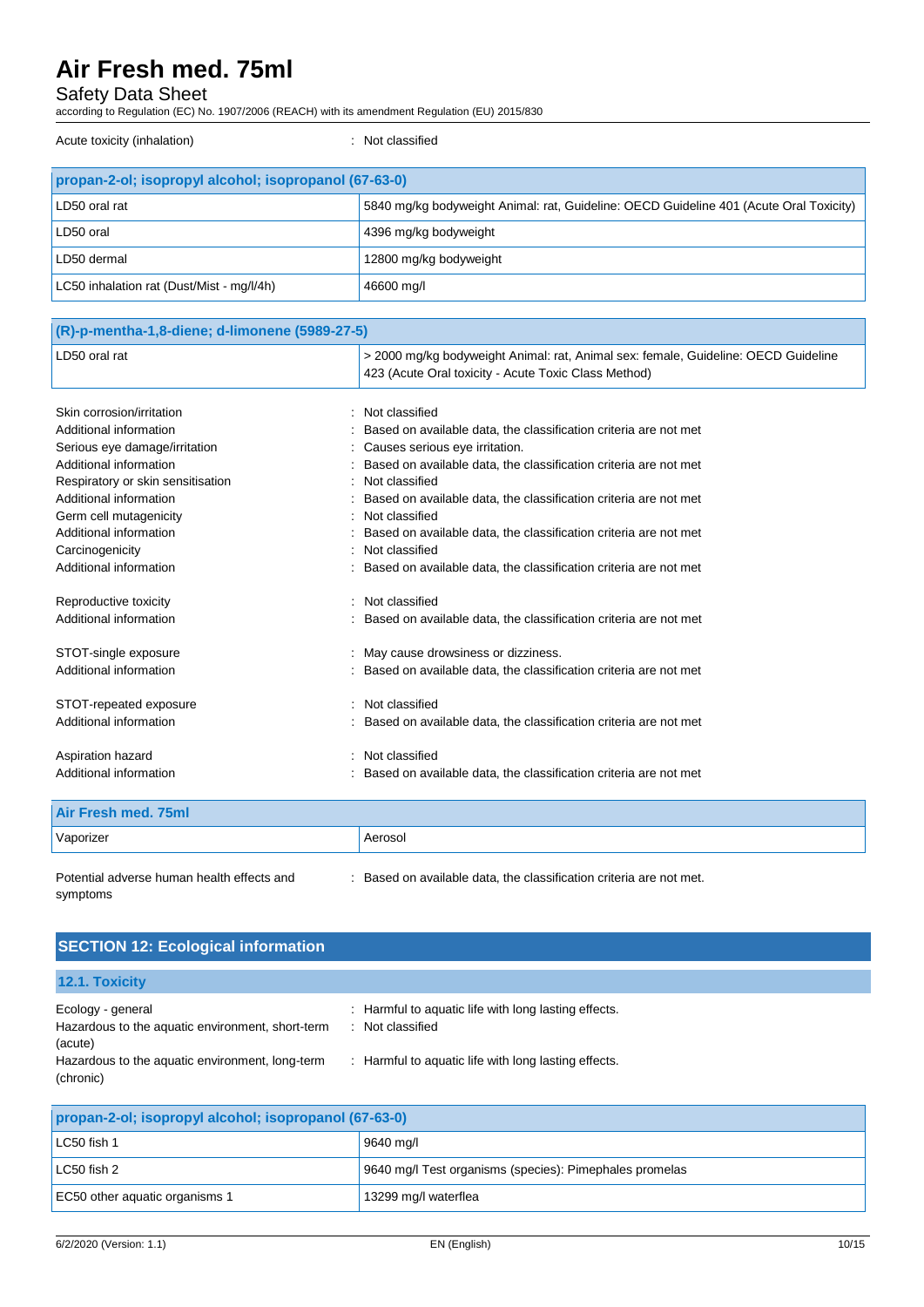# Safety Data Sheet

according to Regulation (EC) No. 1907/2006 (REACH) with its amendment Regulation (EU) 2015/830

Acute toxicity (inhalation) **induces**  $\cdot$  Not classified

| propan-2-ol; isopropyl alcohol; isopropanol (67-63-0) |                                                                                        |  |  |
|-------------------------------------------------------|----------------------------------------------------------------------------------------|--|--|
| LD50 oral rat                                         | 5840 mg/kg bodyweight Animal: rat, Guideline: OECD Guideline 401 (Acute Oral Toxicity) |  |  |
| LD50 oral                                             | 4396 mg/kg bodyweight                                                                  |  |  |
| LD50 dermal                                           | 12800 mg/kg bodyweight                                                                 |  |  |
| LC50 inhalation rat (Dust/Mist - mg/l/4h)             | 46600 mg/l                                                                             |  |  |

| (R)-p-mentha-1,8-diene; d-limonene (5989-27-5) |                                                                                                                                            |
|------------------------------------------------|--------------------------------------------------------------------------------------------------------------------------------------------|
| LD50 oral rat                                  | > 2000 mg/kg bodyweight Animal: rat, Animal sex: female, Guideline: OECD Guideline<br>423 (Acute Oral toxicity - Acute Toxic Class Method) |
| Skin corrosion/irritation                      | Not classified                                                                                                                             |
| Additional information                         | Based on available data, the classification criteria are not met                                                                           |
| Serious eye damage/irritation                  | Causes serious eye irritation.                                                                                                             |
| Additional information                         | Based on available data, the classification criteria are not met                                                                           |
| Respiratory or skin sensitisation              | Not classified                                                                                                                             |
| Additional information                         | Based on available data, the classification criteria are not met                                                                           |
| Germ cell mutagenicity                         | Not classified                                                                                                                             |
| Additional information                         | Based on available data, the classification criteria are not met                                                                           |
| Carcinogenicity                                | Not classified                                                                                                                             |
| Additional information                         | Based on available data, the classification criteria are not met                                                                           |
| Reproductive toxicity                          | Not classified                                                                                                                             |
| Additional information                         | Based on available data, the classification criteria are not met                                                                           |
| STOT-single exposure                           | May cause drowsiness or dizziness.                                                                                                         |
| Additional information                         | Based on available data, the classification criteria are not met                                                                           |
| STOT-repeated exposure                         | Not classified                                                                                                                             |
| Additional information                         | Based on available data, the classification criteria are not met                                                                           |
| Aspiration hazard                              | Not classified                                                                                                                             |
| Additional information                         | Based on available data, the classification criteria are not met                                                                           |
|                                                |                                                                                                                                            |

| Air Fresh med. 75ml |         |
|---------------------|---------|
| Vaporizer           | Aerosol |

Potential adverse human health effects and symptoms : Based on available data, the classification criteria are not met.

| <b>SECTION 12: Ecological information</b>                                        |                                                                          |
|----------------------------------------------------------------------------------|--------------------------------------------------------------------------|
| <b>12.1. Toxicity</b>                                                            |                                                                          |
| Ecology - general<br>Hazardous to the aquatic environment, short-term<br>(acute) | : Harmful to aquatic life with long lasting effects.<br>: Not classified |
| Hazardous to the aquatic environment, long-term<br>(chronic)                     | : Harmful to aquatic life with long lasting effects.                     |

| propan-2-ol; isopropyl alcohol; isopropanol (67-63-0) |                                                         |  |  |
|-------------------------------------------------------|---------------------------------------------------------|--|--|
| LC50 fish 1                                           | 9640 mg/l                                               |  |  |
| LC50 fish 2                                           | 9640 mg/l Test organisms (species): Pimephales promelas |  |  |
| EC50 other aquatic organisms 1                        | 13299 mg/l waterflea                                    |  |  |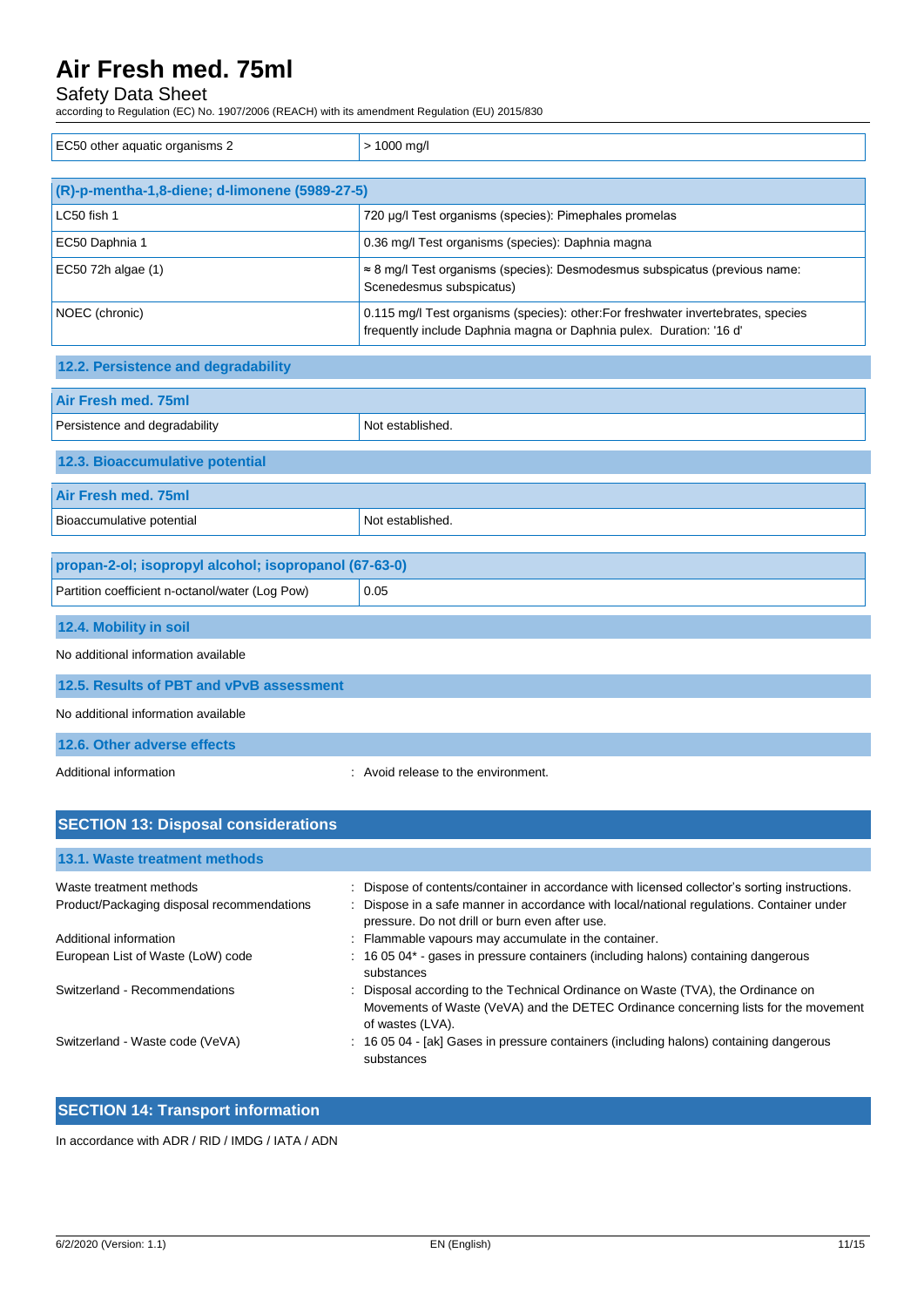# Safety Data Sheet

according to Regulation (EC) No. 1907/2006 (REACH) with its amendment Regulation (EU) 2015/830

| EC50 other aquatic organisms 2                        | > 1000 mg/l                                                                                                                                              |  |  |  |
|-------------------------------------------------------|----------------------------------------------------------------------------------------------------------------------------------------------------------|--|--|--|
|                                                       |                                                                                                                                                          |  |  |  |
| (R)-p-mentha-1,8-diene; d-limonene (5989-27-5)        |                                                                                                                                                          |  |  |  |
| LC50 fish 1                                           | 720 µg/l Test organisms (species): Pimephales promelas                                                                                                   |  |  |  |
| EC50 Daphnia 1                                        | 0.36 mg/l Test organisms (species): Daphnia magna                                                                                                        |  |  |  |
| EC50 72h algae (1)                                    | ≈ 8 mg/l Test organisms (species): Desmodesmus subspicatus (previous name:<br>Scenedesmus subspicatus)                                                   |  |  |  |
| NOEC (chronic)                                        | 0.115 mg/l Test organisms (species): other: For freshwater invertebrates, species<br>frequently include Daphnia magna or Daphnia pulex. Duration: '16 d' |  |  |  |
| 12.2. Persistence and degradability                   |                                                                                                                                                          |  |  |  |
| <b>Air Fresh med. 75ml</b>                            |                                                                                                                                                          |  |  |  |
| Persistence and degradability                         | Not established.                                                                                                                                         |  |  |  |
| 12.3. Bioaccumulative potential                       |                                                                                                                                                          |  |  |  |
| Air Fresh med. 75ml                                   |                                                                                                                                                          |  |  |  |
| Bioaccumulative potential                             | Not established.                                                                                                                                         |  |  |  |
|                                                       |                                                                                                                                                          |  |  |  |
| propan-2-ol; isopropyl alcohol; isopropanol (67-63-0) |                                                                                                                                                          |  |  |  |
| Partition coefficient n-octanol/water (Log Pow)       | 0.05                                                                                                                                                     |  |  |  |
| 12.4. Mobility in soil                                |                                                                                                                                                          |  |  |  |
| No additional information available                   |                                                                                                                                                          |  |  |  |
| 12.5. Results of PBT and vPvB assessment              |                                                                                                                                                          |  |  |  |
| No additional information available                   |                                                                                                                                                          |  |  |  |
| 12.6. Other adverse effects                           |                                                                                                                                                          |  |  |  |
| Additional information                                | : Avoid release to the environment.                                                                                                                      |  |  |  |

| <b>SECTION 13: Disposal considerations</b> |                                                                                                                                                                                             |  |  |  |
|--------------------------------------------|---------------------------------------------------------------------------------------------------------------------------------------------------------------------------------------------|--|--|--|
| 13.1. Waste treatment methods              |                                                                                                                                                                                             |  |  |  |
| Waste treatment methods                    | : Dispose of contents/container in accordance with licensed collector's sorting instructions.                                                                                               |  |  |  |
| Product/Packaging disposal recommendations | : Dispose in a safe manner in accordance with local/national regulations. Container under<br>pressure. Do not drill or burn even after use.                                                 |  |  |  |
| Additional information                     | : Flammable vapours may accumulate in the container.                                                                                                                                        |  |  |  |
| European List of Waste (LoW) code          | : 16 05 04* - gases in pressure containers (including halons) containing dangerous<br>substances                                                                                            |  |  |  |
| Switzerland - Recommendations              | : Disposal according to the Technical Ordinance on Waste (TVA), the Ordinance on<br>Movements of Waste (VeVA) and the DETEC Ordinance concerning lists for the movement<br>of wastes (LVA). |  |  |  |
| Switzerland - Waste code (VeVA)            | : 16 05 04 - [ak] Gases in pressure containers (including halons) containing dangerous<br>substances                                                                                        |  |  |  |

# **SECTION 14: Transport information**

In accordance with ADR / RID / IMDG / IATA / ADN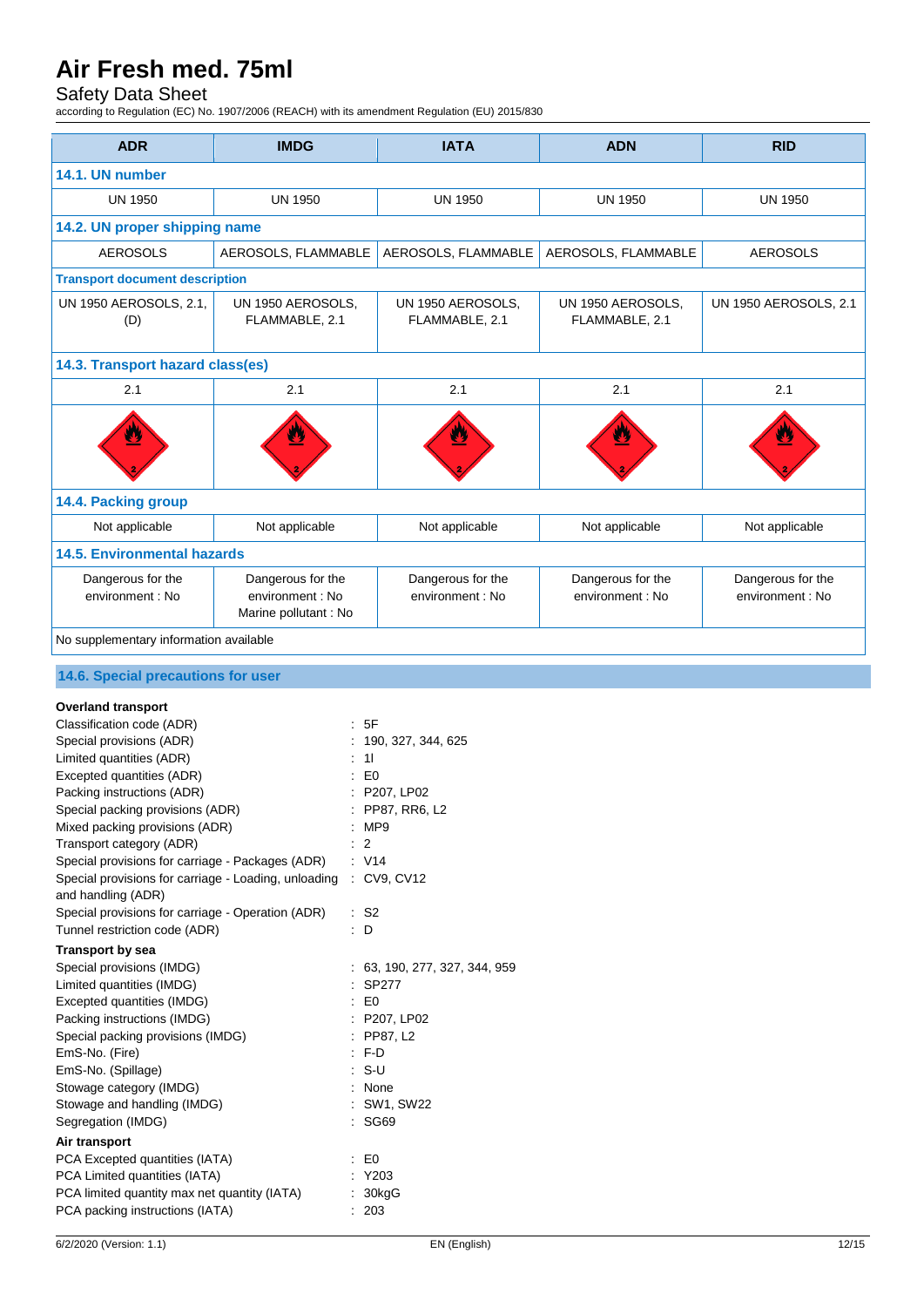# Safety Data Sheet

according to Regulation (EC) No. 1907/2006 (REACH) with its amendment Regulation (EU) 2015/830

| <b>ADR</b>                                                                                                                                                                                                                                                                                                                                                                                                                                                                                                                                                                                                                                                                                                                                                                                                         | <b>IMDG</b>                                                   |                                                                                                                                                           | <b>IATA</b>                                                                                                                                                         | <b>ADN</b>                            | <b>RID</b>                            |  |
|--------------------------------------------------------------------------------------------------------------------------------------------------------------------------------------------------------------------------------------------------------------------------------------------------------------------------------------------------------------------------------------------------------------------------------------------------------------------------------------------------------------------------------------------------------------------------------------------------------------------------------------------------------------------------------------------------------------------------------------------------------------------------------------------------------------------|---------------------------------------------------------------|-----------------------------------------------------------------------------------------------------------------------------------------------------------|---------------------------------------------------------------------------------------------------------------------------------------------------------------------|---------------------------------------|---------------------------------------|--|
| 14.1. UN number                                                                                                                                                                                                                                                                                                                                                                                                                                                                                                                                                                                                                                                                                                                                                                                                    |                                                               |                                                                                                                                                           |                                                                                                                                                                     |                                       |                                       |  |
| <b>UN 1950</b>                                                                                                                                                                                                                                                                                                                                                                                                                                                                                                                                                                                                                                                                                                                                                                                                     | <b>UN 1950</b>                                                |                                                                                                                                                           | <b>UN 1950</b>                                                                                                                                                      | <b>UN 1950</b>                        | <b>UN 1950</b>                        |  |
| 14.2. UN proper shipping name                                                                                                                                                                                                                                                                                                                                                                                                                                                                                                                                                                                                                                                                                                                                                                                      |                                                               |                                                                                                                                                           |                                                                                                                                                                     |                                       |                                       |  |
|                                                                                                                                                                                                                                                                                                                                                                                                                                                                                                                                                                                                                                                                                                                                                                                                                    |                                                               |                                                                                                                                                           |                                                                                                                                                                     |                                       |                                       |  |
| <b>AEROSOLS</b><br>AEROSOLS, FLAMMABLE                                                                                                                                                                                                                                                                                                                                                                                                                                                                                                                                                                                                                                                                                                                                                                             |                                                               | AEROSOLS, FLAMMABLE                                                                                                                                       | AEROSOLS, FLAMMABLE                                                                                                                                                 | <b>AEROSOLS</b>                       |                                       |  |
| <b>Transport document description</b>                                                                                                                                                                                                                                                                                                                                                                                                                                                                                                                                                                                                                                                                                                                                                                              |                                                               |                                                                                                                                                           |                                                                                                                                                                     |                                       |                                       |  |
| UN 1950 AEROSOLS, 2.1,<br>UN 1950 AEROSOLS,<br>FLAMMABLE, 2.1<br>(D)                                                                                                                                                                                                                                                                                                                                                                                                                                                                                                                                                                                                                                                                                                                                               |                                                               | UN 1950 AEROSOLS,<br>FLAMMABLE, 2.1                                                                                                                       | UN 1950 AEROSOLS, 2.1<br>UN 1950 AEROSOLS,<br>FLAMMABLE, 2.1                                                                                                        |                                       |                                       |  |
| 14.3. Transport hazard class(es)                                                                                                                                                                                                                                                                                                                                                                                                                                                                                                                                                                                                                                                                                                                                                                                   |                                                               |                                                                                                                                                           |                                                                                                                                                                     |                                       |                                       |  |
| 2.1                                                                                                                                                                                                                                                                                                                                                                                                                                                                                                                                                                                                                                                                                                                                                                                                                | 2.1                                                           |                                                                                                                                                           | 2.1                                                                                                                                                                 | 2.1                                   | 2.1                                   |  |
|                                                                                                                                                                                                                                                                                                                                                                                                                                                                                                                                                                                                                                                                                                                                                                                                                    |                                                               |                                                                                                                                                           |                                                                                                                                                                     |                                       |                                       |  |
| 14.4. Packing group                                                                                                                                                                                                                                                                                                                                                                                                                                                                                                                                                                                                                                                                                                                                                                                                |                                                               |                                                                                                                                                           |                                                                                                                                                                     |                                       |                                       |  |
| Not applicable                                                                                                                                                                                                                                                                                                                                                                                                                                                                                                                                                                                                                                                                                                                                                                                                     | Not applicable                                                |                                                                                                                                                           | Not applicable                                                                                                                                                      | Not applicable                        | Not applicable                        |  |
| <b>14.5. Environmental hazards</b>                                                                                                                                                                                                                                                                                                                                                                                                                                                                                                                                                                                                                                                                                                                                                                                 |                                                               |                                                                                                                                                           |                                                                                                                                                                     |                                       |                                       |  |
| Dangerous for the<br>environment : No                                                                                                                                                                                                                                                                                                                                                                                                                                                                                                                                                                                                                                                                                                                                                                              | Dangerous for the<br>environment: No<br>Marine pollutant : No |                                                                                                                                                           | Dangerous for the<br>environment : No                                                                                                                               | Dangerous for the<br>environment : No | Dangerous for the<br>environment : No |  |
| No supplementary information available                                                                                                                                                                                                                                                                                                                                                                                                                                                                                                                                                                                                                                                                                                                                                                             |                                                               |                                                                                                                                                           |                                                                                                                                                                     |                                       |                                       |  |
| 14.6. Special precautions for user                                                                                                                                                                                                                                                                                                                                                                                                                                                                                                                                                                                                                                                                                                                                                                                 |                                                               |                                                                                                                                                           |                                                                                                                                                                     |                                       |                                       |  |
| <b>Overland transport</b><br>Classification code (ADR)<br>Special provisions (ADR)<br>Limited quantities (ADR)<br>Excepted quantities (ADR)<br>Packing instructions (ADR)<br>Special packing provisions (ADR)<br>Mixed packing provisions (ADR)<br>Transport category (ADR)<br>Special provisions for carriage - Packages (ADR)<br>Special provisions for carriage - Loading, unloading<br>and handling (ADR)<br>Special provisions for carriage - Operation (ADR)<br>Tunnel restriction code (ADR)<br><b>Transport by sea</b><br>Special provisions (IMDG)<br>Limited quantities (IMDG)<br>Excepted quantities (IMDG)<br>Packing instructions (IMDG)<br>Special packing provisions (IMDG)<br>EmS-No. (Fire)<br>EmS-No. (Spillage)<br>Stowage category (IMDG)<br>Stowage and handling (IMDG)<br>Segregation (IMDG) |                                                               | : 5F<br>: 11<br>E <sub>0</sub><br>:MP9<br>$\therefore$ 2<br>: V14<br>$\therefore$ S2<br>$\therefore$ D<br>$\therefore$ EO<br>$: F-D$<br>$: S-U$<br>: SG69 | : 190, 327, 344, 625<br>P207, LP02<br>: PP87, RR6, L2<br>: CV9, CV12<br>: 63, 190, 277, 327, 344, 959<br>: SP277<br>: P207, LP02<br>: PP87, L2<br>None<br>SW1, SW22 |                                       |                                       |  |
| Air transport<br>PCA Excepted quantities (IATA)<br>PCA Limited quantities (IATA)<br>PCA limited quantity max net quantity (IATA)                                                                                                                                                                                                                                                                                                                                                                                                                                                                                                                                                                                                                                                                                   |                                                               | $\therefore$ EO<br>: Y203                                                                                                                                 | : 30kgG                                                                                                                                                             |                                       |                                       |  |

PCA packing instructions (IATA) : 203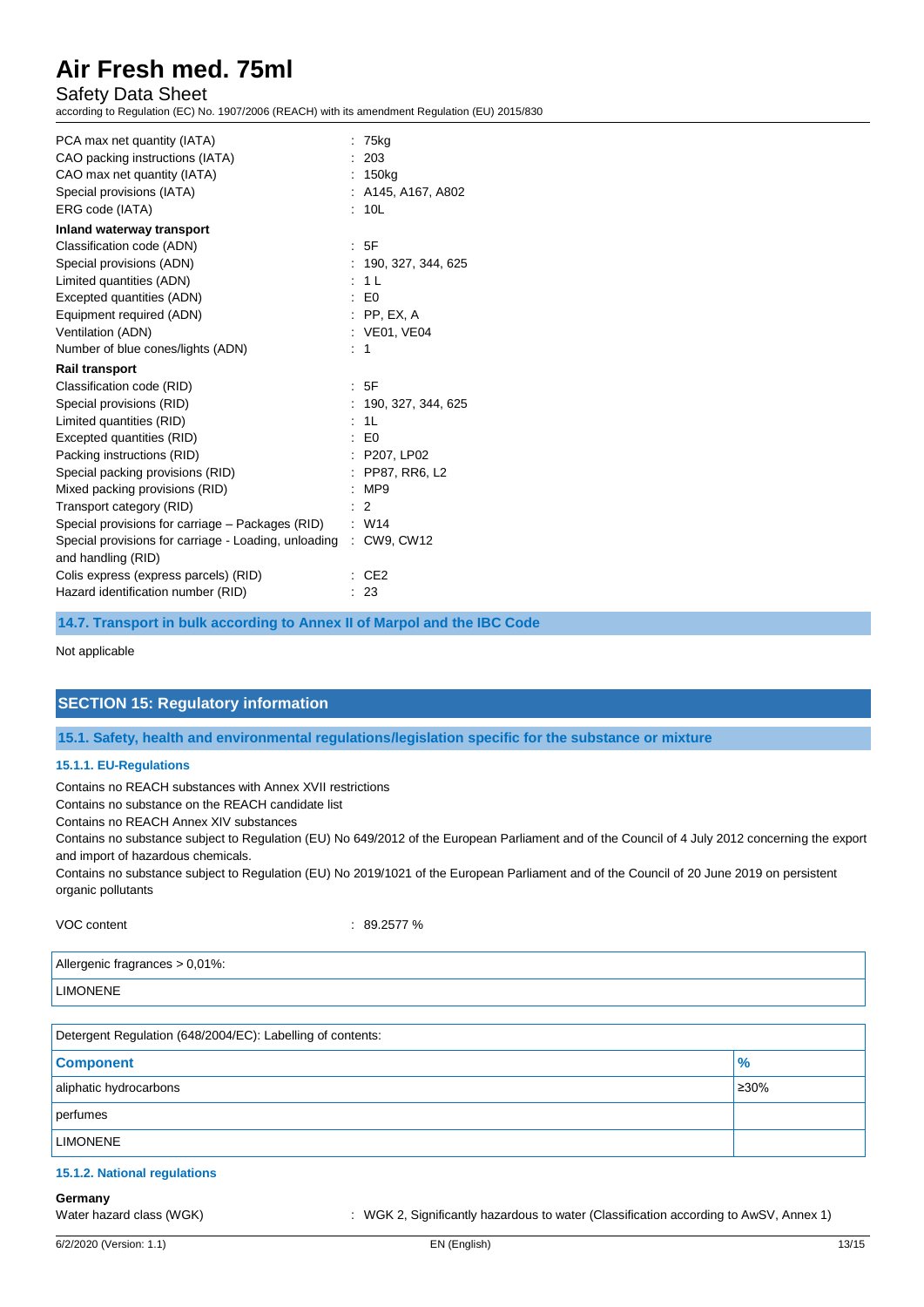## Safety Data Sheet

according to Regulation (EC) No. 1907/2006 (REACH) with its amendment Regulation (EU) 2015/830

| PCA max net quantity (IATA)<br>CAO packing instructions (IATA)<br>CAO max net quantity (IATA)<br>Special provisions (IATA)<br>ERG code (IATA)                                                                                                                                                                                                                                    | : 75kg<br>: 203<br>: 150kg<br>: A145, A167, A802<br>: 10L                                                                                     |
|----------------------------------------------------------------------------------------------------------------------------------------------------------------------------------------------------------------------------------------------------------------------------------------------------------------------------------------------------------------------------------|-----------------------------------------------------------------------------------------------------------------------------------------------|
| Inland waterway transport<br>Classification code (ADN)<br>Special provisions (ADN)<br>Limited quantities (ADN)<br>Excepted quantities (ADN)<br>Equipment required (ADN)<br>Ventilation (ADN)<br>Number of blue cones/lights (ADN)<br><b>Rail transport</b>                                                                                                                       | : 5F<br>: 190, 327, 344, 625<br>: 11<br>$E_0$<br>$:$ PP, EX, A<br>: VE01, VE04<br>$\therefore$ 1                                              |
| Classification code (RID)<br>Special provisions (RID)<br>Limited quantities (RID)<br>Excepted quantities (RID)<br>Packing instructions (RID)<br>Special packing provisions (RID)<br>Mixed packing provisions (RID)<br>Transport category (RID)<br>Special provisions for carriage - Packages (RID)<br>Special provisions for carriage - Loading, unloading<br>and handling (RID) | : 5F<br>: 190, 327, 344, 625<br>: 1L<br>E <sub>0</sub><br>: P207, LP02<br>: PP87, RR6, L2<br>:MP9<br>$\therefore$ 2<br>$:$ W14<br>: CW9, CW12 |
| Colis express (express parcels) (RID)<br>Hazard identification number (RID)                                                                                                                                                                                                                                                                                                      | CE <sub>2</sub><br>: 23                                                                                                                       |

**14.7. Transport in bulk according to Annex II of Marpol and the IBC Code**

Not applicable

## **SECTION 15: Regulatory information**

**15.1. Safety, health and environmental regulations/legislation specific for the substance or mixture**

#### **15.1.1. EU-Regulations**

Contains no REACH substances with Annex XVII restrictions

Contains no substance on the REACH candidate list

Contains no REACH Annex XIV substances

Contains no substance subject to Regulation (EU) No 649/2012 of the European Parliament and of the Council of 4 July 2012 concerning the export and import of hazardous chemicals.

Contains no substance subject to Regulation (EU) No 2019/1021 of the European Parliament and of the Council of 20 June 2019 on persistent organic pollutants

VOC content : 89.2577 %

| Allergenic fragrances > 0,01%: |  |
|--------------------------------|--|
| <b>LIMONENE</b>                |  |
|                                |  |

| Detergent Regulation (648/2004/EC): Labelling of contents: |      |  |  |
|------------------------------------------------------------|------|--|--|
| <b>Component</b>                                           | $\%$ |  |  |
| aliphatic hydrocarbons                                     | 230% |  |  |
| perfumes                                                   |      |  |  |
| <b>LIMONENE</b>                                            |      |  |  |

## **15.1.2. National regulations**

## **Germany**

Water hazard class (WGK) : WGK 2, Significantly hazardous to water (Classification according to AwSV, Annex 1)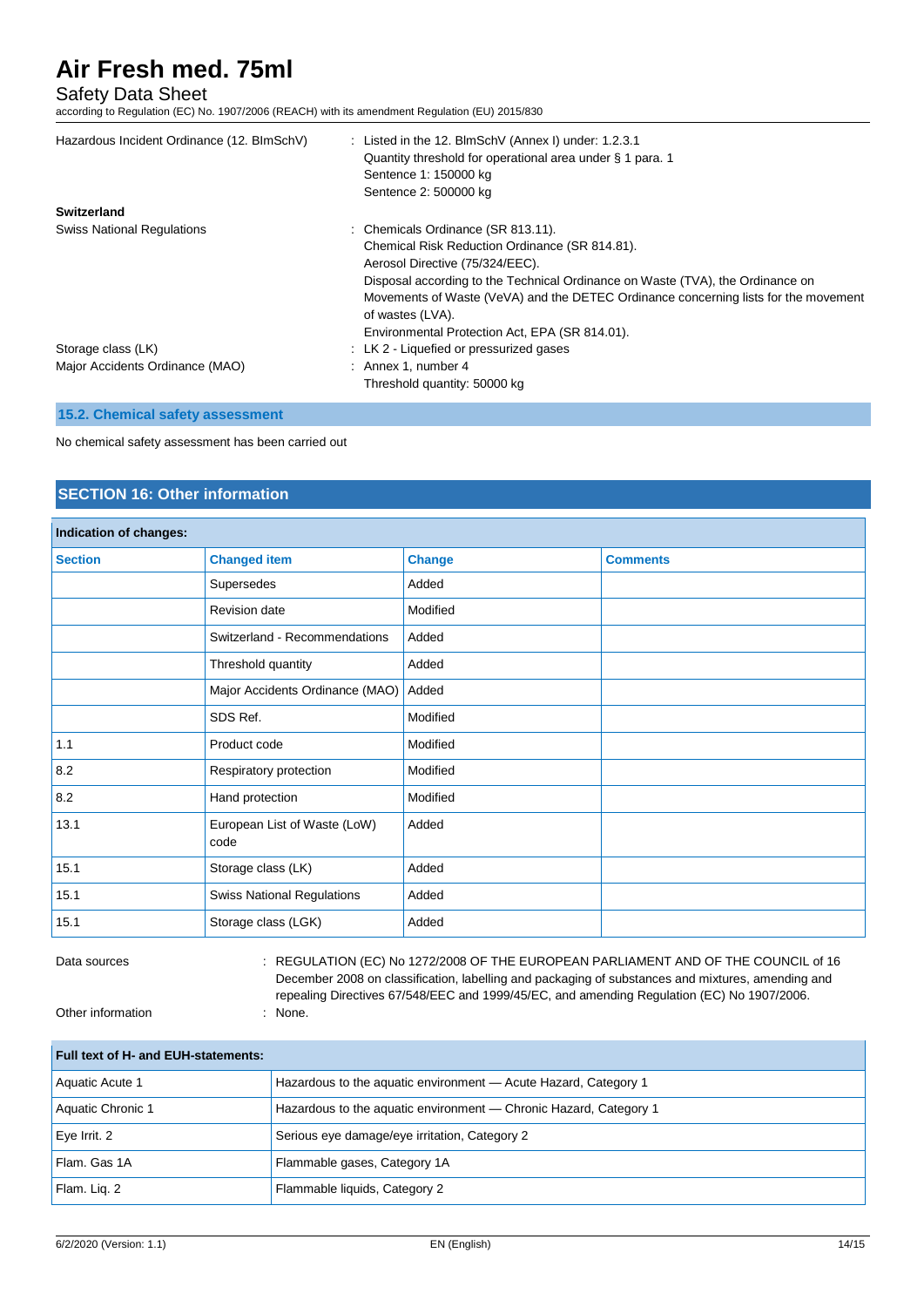## Safety Data Sheet

according to Regulation (EC) No. 1907/2006 (REACH) with its amendment Regulation (EU) 2015/830

| Hazardous Incident Ordinance (12. BImSchV) | : Listed in the 12. BlmSchV (Annex I) under: $1.2.3.1$<br>Quantity threshold for operational area under § 1 para. 1<br>Sentence 1: 150000 kg<br>Sentence 2: 500000 kg |
|--------------------------------------------|-----------------------------------------------------------------------------------------------------------------------------------------------------------------------|
| Switzerland                                |                                                                                                                                                                       |
| <b>Swiss National Regulations</b>          | : Chemicals Ordinance (SR 813.11).                                                                                                                                    |
|                                            | Chemical Risk Reduction Ordinance (SR 814.81).                                                                                                                        |
|                                            | Aerosol Directive (75/324/EEC).                                                                                                                                       |
|                                            | Disposal according to the Technical Ordinance on Waste (TVA), the Ordinance on                                                                                        |
|                                            | Movements of Waste (VeVA) and the DETEC Ordinance concerning lists for the movement                                                                                   |
|                                            | of wastes (LVA).                                                                                                                                                      |
|                                            | Environmental Protection Act, EPA (SR 814.01).                                                                                                                        |
| Storage class (LK)                         | : LK 2 - Liquefied or pressurized gases                                                                                                                               |
| Major Accidents Ordinance (MAO)            | $:$ Annex 1, number 4                                                                                                                                                 |
|                                            | Threshold quantity: 50000 kg                                                                                                                                          |

### **15.2. Chemical safety assessment**

No chemical safety assessment has been carried out

# **SECTION 16: Other information**

| Indication of changes: |                                      |               |                 |  |
|------------------------|--------------------------------------|---------------|-----------------|--|
| <b>Section</b>         | <b>Changed item</b>                  | <b>Change</b> | <b>Comments</b> |  |
|                        | Supersedes                           | Added         |                 |  |
|                        | <b>Revision date</b>                 | Modified      |                 |  |
|                        | Switzerland - Recommendations        | Added         |                 |  |
|                        | Threshold quantity                   | Added         |                 |  |
|                        | Major Accidents Ordinance (MAO)      | Added         |                 |  |
|                        | SDS Ref.                             | Modified      |                 |  |
| 1.1                    | Product code                         | Modified      |                 |  |
| 8.2                    | Respiratory protection               | Modified      |                 |  |
| 8.2                    | Hand protection                      | Modified      |                 |  |
| 13.1                   | European List of Waste (LoW)<br>code | Added         |                 |  |
| 15.1                   | Storage class (LK)                   | Added         |                 |  |
| 15.1                   | <b>Swiss National Regulations</b>    | Added         |                 |  |
| 15.1                   | Storage class (LGK)                  | Added         |                 |  |

Data sources : REGULATION (EC) No 1272/2008 OF THE EUROPEAN PARLIAMENT AND OF THE COUNCIL of 16 December 2008 on classification, labelling and packaging of substances and mixtures, amending and repealing Directives 67/548/EEC and 1999/45/EC, and amending Regulation (EC) No 1907/2006.

Other information : None.

**Full text of H- and EUH-statements:** Aquatic Acute 1 **Hazardous to the aquatic environment** — Acute Hazard, Category 1 Aquatic Chronic 1 **Hazardous to the aquatic environment** — Chronic Hazard, Category 1 Eye Irrit. 2 Serious eye damage/eye irritation, Category 2 Flam. Gas 1A **Flammable gases, Category 1A** Flam. Liq. 2 Flammable liquids, Category 2